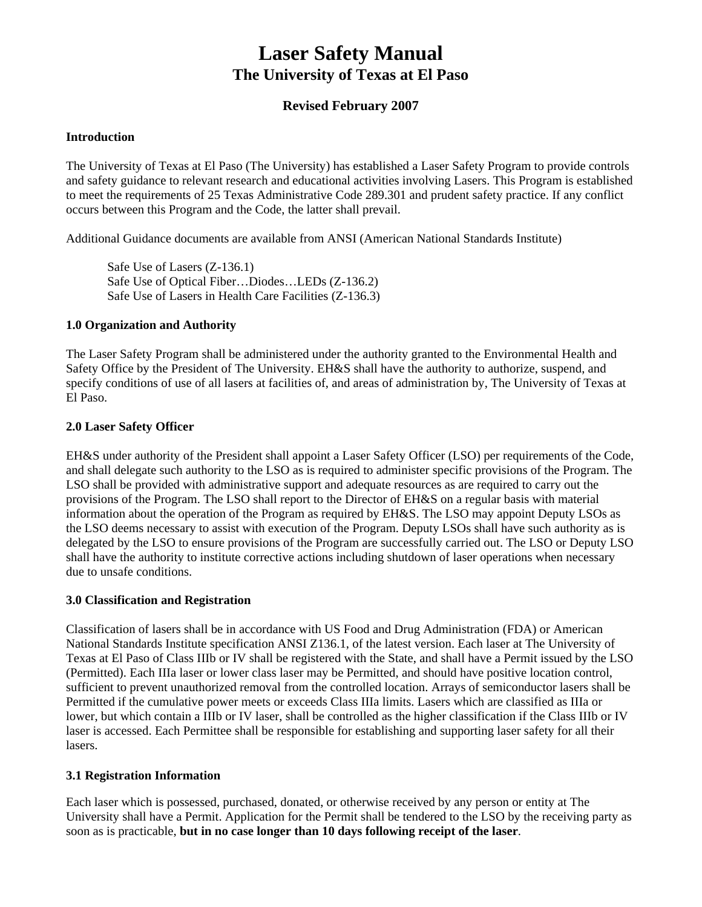## **Laser Safety Manual The University of Texas at El Paso**

### **Revised February 2007**

### **Introduction**

The University of Texas at El Paso (The University) has established a Laser Safety Program to provide controls and safety guidance to relevant research and educational activities involving Lasers. This Program is established to meet the requirements of 25 Texas Administrative Code 289.301 and prudent safety practice. If any conflict occurs between this Program and the Code, the latter shall prevail.

Additional Guidance documents are available from ANSI (American National Standards Institute)

Safe Use of Lasers (Z-136.1) Safe Use of Optical Fiber…Diodes…LEDs (Z-136.2) Safe Use of Lasers in Health Care Facilities (Z-136.3)

### **1.0 Organization and Authority**

The Laser Safety Program shall be administered under the authority granted to the Environmental Health and Safety Office by the President of The University. EH&S shall have the authority to authorize, suspend, and specify conditions of use of all lasers at facilities of, and areas of administration by, The University of Texas at El Paso.

### **2.0 Laser Safety Officer**

EH&S under authority of the President shall appoint a Laser Safety Officer (LSO) per requirements of the Code, and shall delegate such authority to the LSO as is required to administer specific provisions of the Program. The LSO shall be provided with administrative support and adequate resources as are required to carry out the provisions of the Program. The LSO shall report to the Director of EH&S on a regular basis with material information about the operation of the Program as required by EH&S. The LSO may appoint Deputy LSOs as the LSO deems necessary to assist with execution of the Program. Deputy LSOs shall have such authority as is delegated by the LSO to ensure provisions of the Program are successfully carried out. The LSO or Deputy LSO shall have the authority to institute corrective actions including shutdown of laser operations when necessary due to unsafe conditions.

### **3.0 Classification and Registration**

Classification of lasers shall be in accordance with US Food and Drug Administration (FDA) or American National Standards Institute specification ANSI Z136.1, of the latest version. Each laser at The University of Texas at El Paso of Class IIIb or IV shall be registered with the State, and shall have a Permit issued by the LSO (Permitted). Each IIIa laser or lower class laser may be Permitted, and should have positive location control, sufficient to prevent unauthorized removal from the controlled location. Arrays of semiconductor lasers shall be Permitted if the cumulative power meets or exceeds Class IIIa limits. Lasers which are classified as IIIa or lower, but which contain a IIIb or IV laser, shall be controlled as the higher classification if the Class IIIb or IV laser is accessed. Each Permittee shall be responsible for establishing and supporting laser safety for all their lasers.

### **3.1 Registration Information**

Each laser which is possessed, purchased, donated, or otherwise received by any person or entity at The University shall have a Permit. Application for the Permit shall be tendered to the LSO by the receiving party as soon as is practicable, **but in no case longer than 10 days following receipt of the laser**.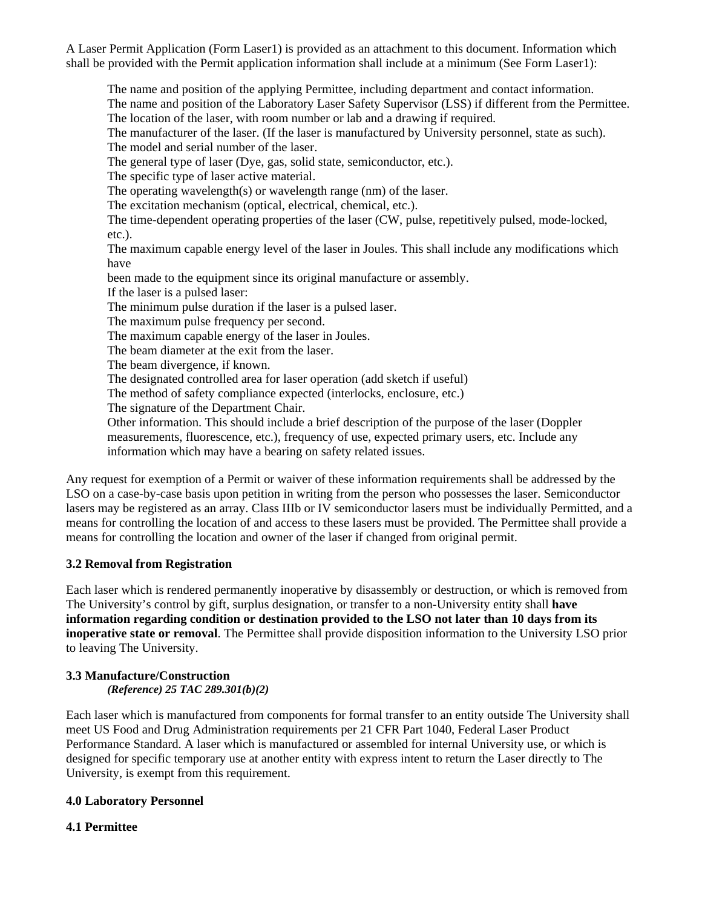A Laser Permit Application (Form Laser1) is provided as an attachment to this document. Information which shall be provided with the Permit application information shall include at a minimum (See Form Laser1):

The name and position of the applying Permittee, including department and contact information. The name and position of the Laboratory Laser Safety Supervisor (LSS) if different from the Permittee. The location of the laser, with room number or lab and a drawing if required. The manufacturer of the laser. (If the laser is manufactured by University personnel, state as such). The model and serial number of the laser. The general type of laser (Dye, gas, solid state, semiconductor, etc.). The specific type of laser active material. The operating wavelength(s) or wavelength range (nm) of the laser. The excitation mechanism (optical, electrical, chemical, etc.). The time-dependent operating properties of the laser (CW, pulse, repetitively pulsed, mode-locked, etc.). The maximum capable energy level of the laser in Joules. This shall include any modifications which have been made to the equipment since its original manufacture or assembly. If the laser is a pulsed laser: The minimum pulse duration if the laser is a pulsed laser. The maximum pulse frequency per second. The maximum capable energy of the laser in Joules. The beam diameter at the exit from the laser. The beam divergence, if known. The designated controlled area for laser operation (add sketch if useful) The method of safety compliance expected (interlocks, enclosure, etc.) The signature of the Department Chair. Other information. This should include a brief description of the purpose of the laser (Doppler measurements, fluorescence, etc.), frequency of use, expected primary users, etc. Include any information which may have a bearing on safety related issues.

Any request for exemption of a Permit or waiver of these information requirements shall be addressed by the LSO on a case-by-case basis upon petition in writing from the person who possesses the laser. Semiconductor lasers may be registered as an array. Class IIIb or IV semiconductor lasers must be individually Permitted, and a means for controlling the location of and access to these lasers must be provided. The Permittee shall provide a means for controlling the location and owner of the laser if changed from original permit.

### **3.2 Removal from Registration**

Each laser which is rendered permanently inoperative by disassembly or destruction, or which is removed from The University's control by gift, surplus designation, or transfer to a non-University entity shall **have information regarding condition or destination provided to the LSO not later than 10 days from its inoperative state or removal**. The Permittee shall provide disposition information to the University LSO prior to leaving The University.

### **3.3 Manufacture/Construction**  *(Reference) 25 TAC 289.301(b)(2)*

Each laser which is manufactured from components for formal transfer to an entity outside The University shall meet US Food and Drug Administration requirements per 21 CFR Part 1040, Federal Laser Product Performance Standard. A laser which is manufactured or assembled for internal University use, or which is designed for specific temporary use at another entity with express intent to return the Laser directly to The University, is exempt from this requirement.

### **4.0 Laboratory Personnel**

### **4.1 Permittee**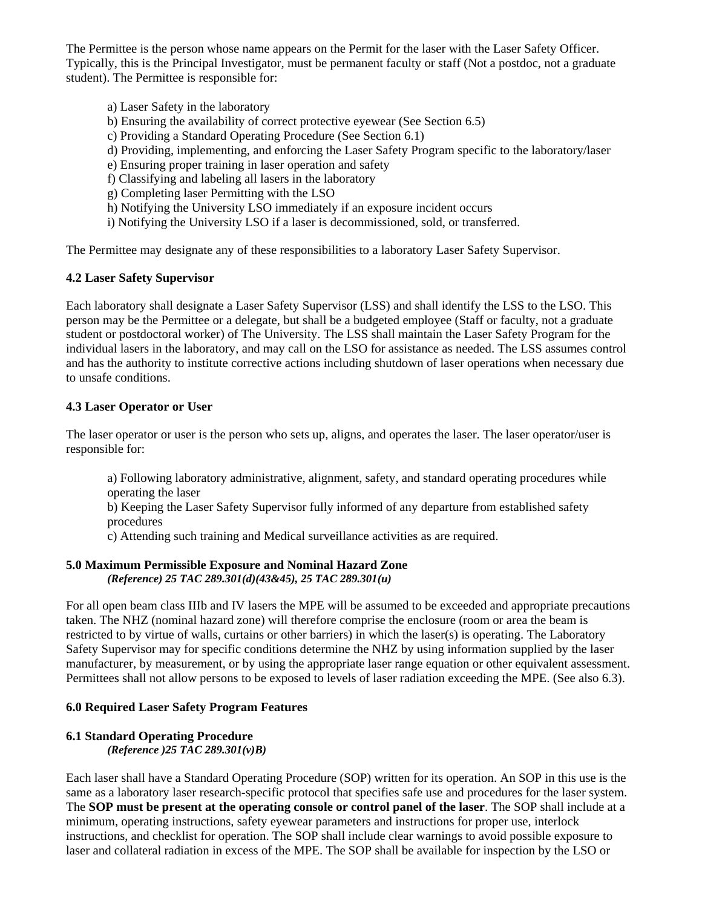The Permittee is the person whose name appears on the Permit for the laser with the Laser Safety Officer. Typically, this is the Principal Investigator, must be permanent faculty or staff (Not a postdoc, not a graduate student). The Permittee is responsible for:

- a) Laser Safety in the laboratory
- b) Ensuring the availability of correct protective eyewear (See Section 6.5)
- c) Providing a Standard Operating Procedure (See Section 6.1)
- d) Providing, implementing, and enforcing the Laser Safety Program specific to the laboratory/laser
- e) Ensuring proper training in laser operation and safety
- f) Classifying and labeling all lasers in the laboratory
- g) Completing laser Permitting with the LSO
- h) Notifying the University LSO immediately if an exposure incident occurs
- i) Notifying the University LSO if a laser is decommissioned, sold, or transferred.

The Permittee may designate any of these responsibilities to a laboratory Laser Safety Supervisor.

### **4.2 Laser Safety Supervisor**

Each laboratory shall designate a Laser Safety Supervisor (LSS) and shall identify the LSS to the LSO. This person may be the Permittee or a delegate, but shall be a budgeted employee (Staff or faculty, not a graduate student or postdoctoral worker) of The University. The LSS shall maintain the Laser Safety Program for the individual lasers in the laboratory, and may call on the LSO for assistance as needed. The LSS assumes control and has the authority to institute corrective actions including shutdown of laser operations when necessary due to unsafe conditions.

### **4.3 Laser Operator or User**

The laser operator or user is the person who sets up, aligns, and operates the laser. The laser operator/user is responsible for:

a) Following laboratory administrative, alignment, safety, and standard operating procedures while operating the laser

b) Keeping the Laser Safety Supervisor fully informed of any departure from established safety procedures

c) Attending such training and Medical surveillance activities as are required.

#### **5.0 Maximum Permissible Exposure and Nominal Hazard Zone**  *(Reference) 25 TAC 289.301(d)(43&45), 25 TAC 289.301(u)*

For all open beam class IIIb and IV lasers the MPE will be assumed to be exceeded and appropriate precautions taken. The NHZ (nominal hazard zone) will therefore comprise the enclosure (room or area the beam is restricted to by virtue of walls, curtains or other barriers) in which the laser(s) is operating. The Laboratory Safety Supervisor may for specific conditions determine the NHZ by using information supplied by the laser manufacturer, by measurement, or by using the appropriate laser range equation or other equivalent assessment. Permittees shall not allow persons to be exposed to levels of laser radiation exceeding the MPE. (See also 6.3).

### **6.0 Required Laser Safety Program Features**

## **6.1 Standard Operating Procedure**

*(Reference )25 TAC 289.301(v)B)* 

Each laser shall have a Standard Operating Procedure (SOP) written for its operation. An SOP in this use is the same as a laboratory laser research-specific protocol that specifies safe use and procedures for the laser system. The **SOP must be present at the operating console or control panel of the laser**. The SOP shall include at a minimum, operating instructions, safety eyewear parameters and instructions for proper use, interlock instructions, and checklist for operation. The SOP shall include clear warnings to avoid possible exposure to laser and collateral radiation in excess of the MPE. The SOP shall be available for inspection by the LSO or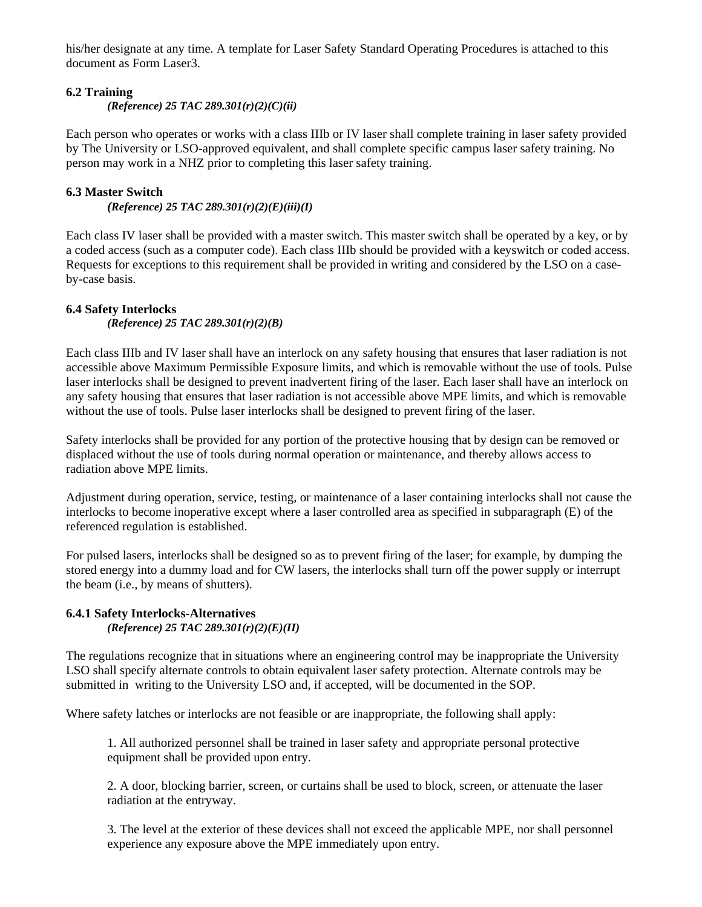his/her designate at any time. A template for Laser Safety Standard Operating Procedures is attached to this document as Form Laser3.

### **6.2 Training**

*(Reference) 25 TAC 289.301(r)(2)(C)(ii)* 

Each person who operates or works with a class IIIb or IV laser shall complete training in laser safety provided by The University or LSO-approved equivalent, and shall complete specific campus laser safety training. No person may work in a NHZ prior to completing this laser safety training.

### **6.3 Master Switch**

*(Reference) 25 TAC 289.301(r)(2)(E)(iii)(I)*

Each class IV laser shall be provided with a master switch. This master switch shall be operated by a key, or by a coded access (such as a computer code). Each class IIIb should be provided with a keyswitch or coded access. Requests for exceptions to this requirement shall be provided in writing and considered by the LSO on a caseby-case basis.

### **6.4 Safety Interlocks**

*(Reference) 25 TAC 289.301(r)(2)(B)* 

Each class IIIb and IV laser shall have an interlock on any safety housing that ensures that laser radiation is not accessible above Maximum Permissible Exposure limits, and which is removable without the use of tools. Pulse laser interlocks shall be designed to prevent inadvertent firing of the laser. Each laser shall have an interlock on any safety housing that ensures that laser radiation is not accessible above MPE limits, and which is removable without the use of tools. Pulse laser interlocks shall be designed to prevent firing of the laser.

Safety interlocks shall be provided for any portion of the protective housing that by design can be removed or displaced without the use of tools during normal operation or maintenance, and thereby allows access to radiation above MPE limits.

Adjustment during operation, service, testing, or maintenance of a laser containing interlocks shall not cause the interlocks to become inoperative except where a laser controlled area as specified in subparagraph (E) of the referenced regulation is established.

For pulsed lasers, interlocks shall be designed so as to prevent firing of the laser; for example, by dumping the stored energy into a dummy load and for CW lasers, the interlocks shall turn off the power supply or interrupt the beam (i.e., by means of shutters).

### **6.4.1 Safety Interlocks-Alternatives**  *(Reference) 25 TAC 289.301(r)(2)(E)(II)*

The regulations recognize that in situations where an engineering control may be inappropriate the University LSO shall specify alternate controls to obtain equivalent laser safety protection. Alternate controls may be submitted in writing to the University LSO and, if accepted, will be documented in the SOP.

Where safety latches or interlocks are not feasible or are inappropriate, the following shall apply:

1. All authorized personnel shall be trained in laser safety and appropriate personal protective equipment shall be provided upon entry.

2. A door, blocking barrier, screen, or curtains shall be used to block, screen, or attenuate the laser radiation at the entryway.

3. The level at the exterior of these devices shall not exceed the applicable MPE, nor shall personnel experience any exposure above the MPE immediately upon entry.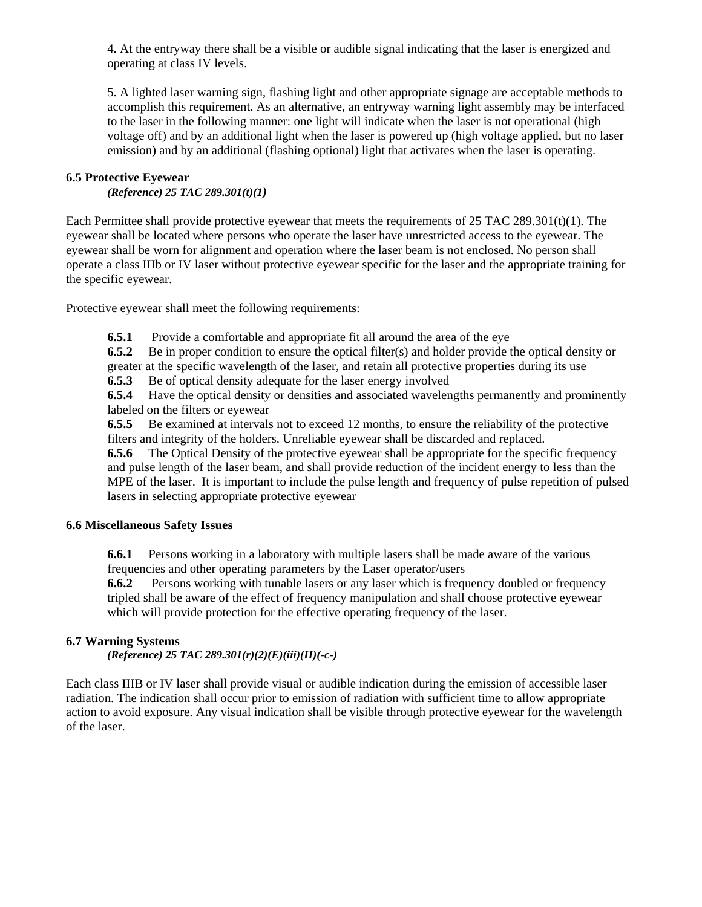4. At the entryway there shall be a visible or audible signal indicating that the laser is energized and operating at class IV levels.

5. A lighted laser warning sign, flashing light and other appropriate signage are acceptable methods to accomplish this requirement. As an alternative, an entryway warning light assembly may be interfaced to the laser in the following manner: one light will indicate when the laser is not operational (high voltage off) and by an additional light when the laser is powered up (high voltage applied, but no laser emission) and by an additional (flashing optional) light that activates when the laser is operating.

### **6.5 Protective Eyewear**

*(Reference) 25 TAC 289.301(t)(1)* 

Each Permittee shall provide protective eyewear that meets the requirements of  $25$  TAC  $289.301(t)(1)$ . The eyewear shall be located where persons who operate the laser have unrestricted access to the eyewear. The eyewear shall be worn for alignment and operation where the laser beam is not enclosed. No person shall operate a class IIIb or IV laser without protective eyewear specific for the laser and the appropriate training for the specific eyewear.

Protective eyewear shall meet the following requirements:

**6.5.1** Provide a comfortable and appropriate fit all around the area of the eye

**6.5.2** Be in proper condition to ensure the optical filter(s) and holder provide the optical density or greater at the specific wavelength of the laser, and retain all protective properties during its use

**6.5.3** Be of optical density adequate for the laser energy involved

**6.5.4** Have the optical density or densities and associated wavelengths permanently and prominently labeled on the filters or eyewear

**6.5.5** Be examined at intervals not to exceed 12 months, to ensure the reliability of the protective filters and integrity of the holders. Unreliable eyewear shall be discarded and replaced.

**6.5.6** The Optical Density of the protective eyewear shall be appropriate for the specific frequency and pulse length of the laser beam, and shall provide reduction of the incident energy to less than the MPE of the laser. It is important to include the pulse length and frequency of pulse repetition of pulsed lasers in selecting appropriate protective eyewear

### **6.6 Miscellaneous Safety Issues**

**6.6.1** Persons working in a laboratory with multiple lasers shall be made aware of the various frequencies and other operating parameters by the Laser operator/users

**6.6.2** Persons working with tunable lasers or any laser which is frequency doubled or frequency tripled shall be aware of the effect of frequency manipulation and shall choose protective eyewear which will provide protection for the effective operating frequency of the laser.

### **6.7 Warning Systems**

*(Reference) 25 TAC 289.301(r)(2)(E)(iii)(II)(-c-)* 

Each class IIIB or IV laser shall provide visual or audible indication during the emission of accessible laser radiation. The indication shall occur prior to emission of radiation with sufficient time to allow appropriate action to avoid exposure. Any visual indication shall be visible through protective eyewear for the wavelength of the laser.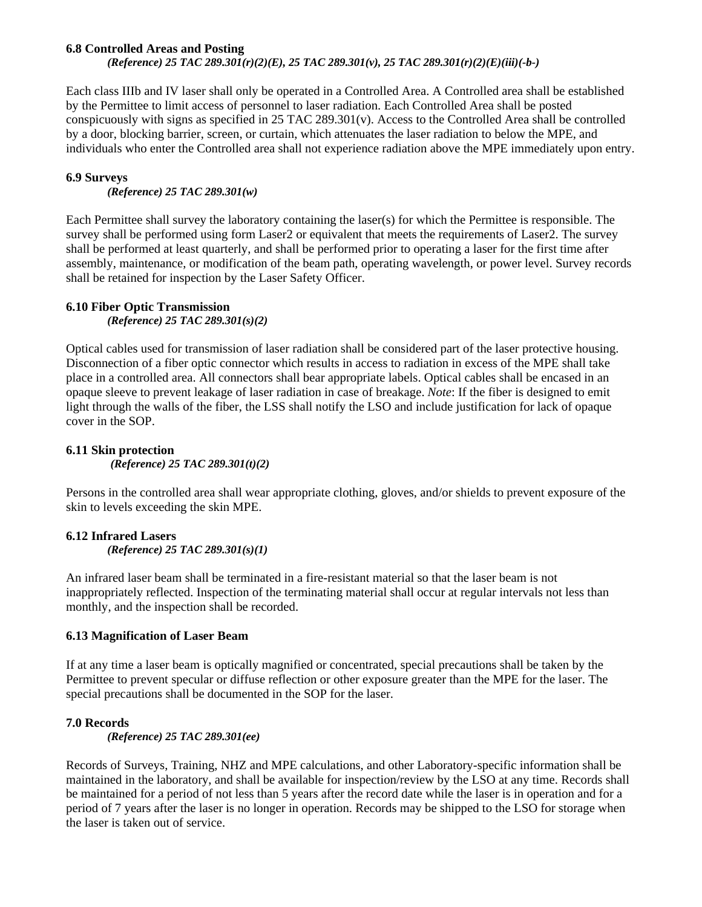### **6.8 Controlled Areas and Posting**

*(Reference) 25 TAC 289.301(r)(2)(E), 25 TAC 289.301(v), 25 TAC 289.301(r)(2)(E)(iii)(-b-)* 

Each class IIIb and IV laser shall only be operated in a Controlled Area. A Controlled area shall be established by the Permittee to limit access of personnel to laser radiation. Each Controlled Area shall be posted conspicuously with signs as specified in 25 TAC 289.301(v). Access to the Controlled Area shall be controlled by a door, blocking barrier, screen, or curtain, which attenuates the laser radiation to below the MPE, and individuals who enter the Controlled area shall not experience radiation above the MPE immediately upon entry.

### **6.9 Surveys**

*(Reference) 25 TAC 289.301(w)* 

Each Permittee shall survey the laboratory containing the laser(s) for which the Permittee is responsible. The survey shall be performed using form Laser2 or equivalent that meets the requirements of Laser2. The survey shall be performed at least quarterly, and shall be performed prior to operating a laser for the first time after assembly, maintenance, or modification of the beam path, operating wavelength, or power level. Survey records shall be retained for inspection by the Laser Safety Officer.

### **6.10 Fiber Optic Transmission**

*(Reference) 25 TAC 289.301(s)(2)* 

Optical cables used for transmission of laser radiation shall be considered part of the laser protective housing. Disconnection of a fiber optic connector which results in access to radiation in excess of the MPE shall take place in a controlled area. All connectors shall bear appropriate labels. Optical cables shall be encased in an opaque sleeve to prevent leakage of laser radiation in case of breakage. *Note*: If the fiber is designed to emit light through the walls of the fiber, the LSS shall notify the LSO and include justification for lack of opaque cover in the SOP.

### **6.11 Skin protection**

*(Reference) 25 TAC 289.301(t)(2)* 

Persons in the controlled area shall wear appropriate clothing, gloves, and/or shields to prevent exposure of the skin to levels exceeding the skin MPE.

### **6.12 Infrared Lasers**  *(Reference) 25 TAC 289.301(s)(1)*

An infrared laser beam shall be terminated in a fire-resistant material so that the laser beam is not inappropriately reflected. Inspection of the terminating material shall occur at regular intervals not less than monthly, and the inspection shall be recorded.

### **6.13 Magnification of Laser Beam**

If at any time a laser beam is optically magnified or concentrated, special precautions shall be taken by the Permittee to prevent specular or diffuse reflection or other exposure greater than the MPE for the laser. The special precautions shall be documented in the SOP for the laser.

### **7.0 Records**

*(Reference) 25 TAC 289.301(ee)* 

Records of Surveys, Training, NHZ and MPE calculations, and other Laboratory-specific information shall be maintained in the laboratory, and shall be available for inspection/review by the LSO at any time. Records shall be maintained for a period of not less than 5 years after the record date while the laser is in operation and for a period of 7 years after the laser is no longer in operation. Records may be shipped to the LSO for storage when the laser is taken out of service.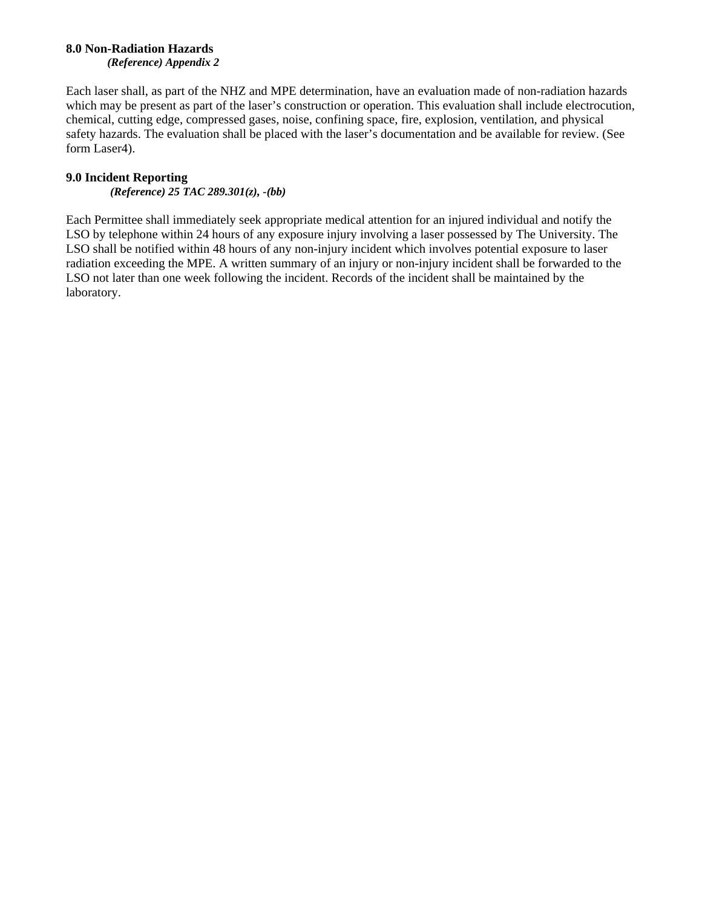#### **8.0 Non-Radiation Hazards**  *(Reference) Appendix 2*

Each laser shall, as part of the NHZ and MPE determination, have an evaluation made of non-radiation hazards which may be present as part of the laser's construction or operation. This evaluation shall include electrocution, chemical, cutting edge, compressed gases, noise, confining space, fire, explosion, ventilation, and physical safety hazards. The evaluation shall be placed with the laser's documentation and be available for review. (See form Laser4).

### **9.0 Incident Reporting**

*(Reference) 25 TAC 289.301(z), -(bb)* 

Each Permittee shall immediately seek appropriate medical attention for an injured individual and notify the LSO by telephone within 24 hours of any exposure injury involving a laser possessed by The University. The LSO shall be notified within 48 hours of any non-injury incident which involves potential exposure to laser radiation exceeding the MPE. A written summary of an injury or non-injury incident shall be forwarded to the LSO not later than one week following the incident. Records of the incident shall be maintained by the laboratory.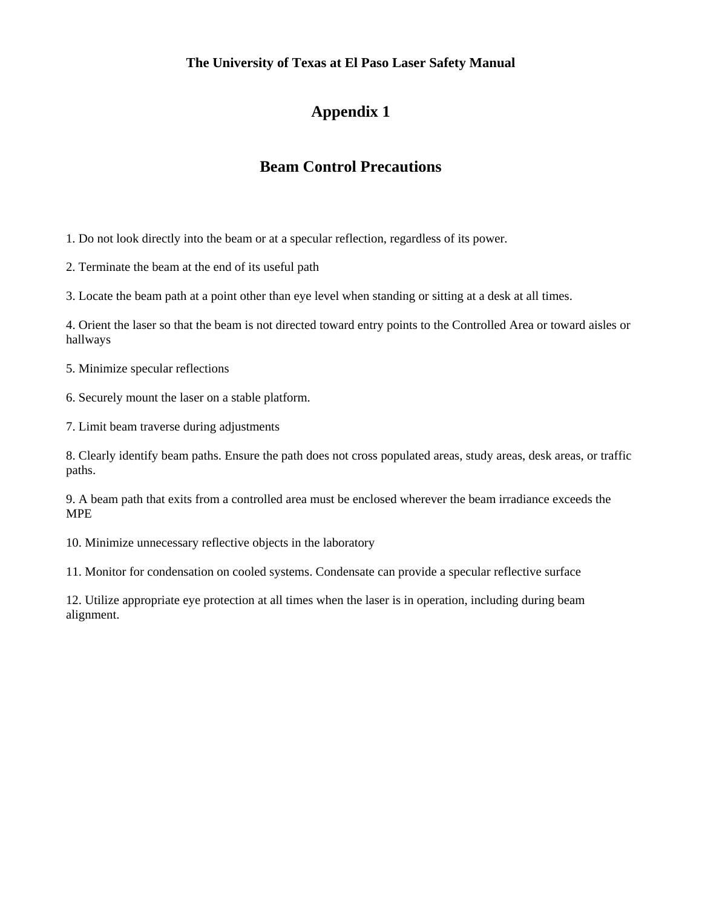### **The University of Texas at El Paso Laser Safety Manual**

## **Appendix 1**

## **Beam Control Precautions**

1. Do not look directly into the beam or at a specular reflection, regardless of its power.

2. Terminate the beam at the end of its useful path

3. Locate the beam path at a point other than eye level when standing or sitting at a desk at all times.

4. Orient the laser so that the beam is not directed toward entry points to the Controlled Area or toward aisles or hallways

5. Minimize specular reflections

6. Securely mount the laser on a stable platform.

7. Limit beam traverse during adjustments

8. Clearly identify beam paths. Ensure the path does not cross populated areas, study areas, desk areas, or traffic paths.

9. A beam path that exits from a controlled area must be enclosed wherever the beam irradiance exceeds the MPE

10. Minimize unnecessary reflective objects in the laboratory

11. Monitor for condensation on cooled systems. Condensate can provide a specular reflective surface

12. Utilize appropriate eye protection at all times when the laser is in operation, including during beam alignment.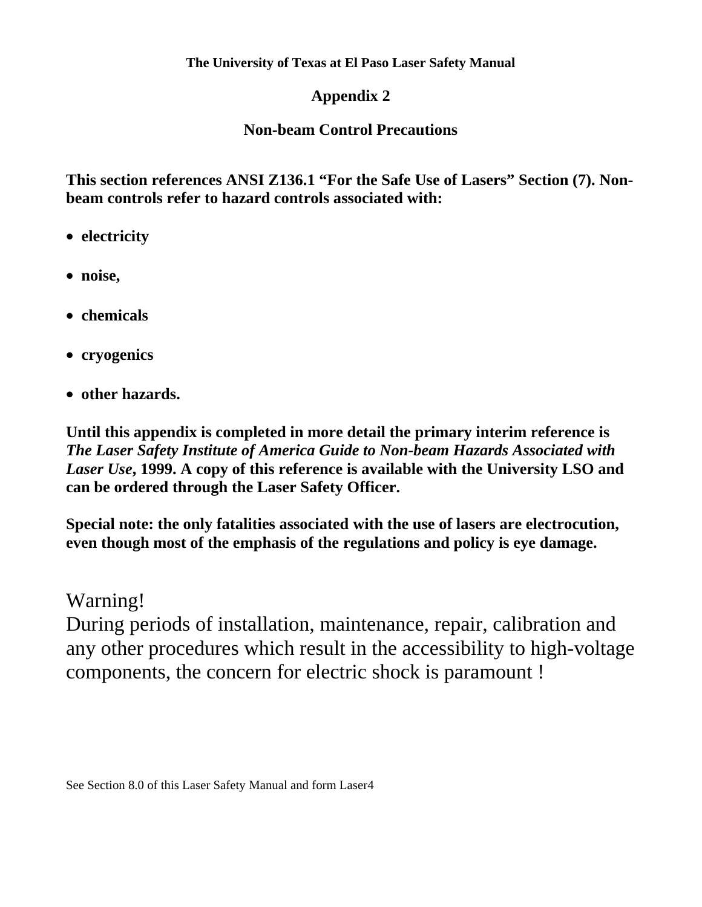## **Appendix 2**

## **Non-beam Control Precautions**

**This section references ANSI Z136.1 "For the Safe Use of Lasers" Section (7). Nonbeam controls refer to hazard controls associated with:** 

- **electricity**
- **noise,**
- **chemicals**
- **cryogenics**
- **other hazards.**

**Until this appendix is completed in more detail the primary interim reference is**  *The Laser Safety Institute of America Guide to Non-beam Hazards Associated with Laser Use***, 1999. A copy of this reference is available with the University LSO and can be ordered through the Laser Safety Officer.** 

**Special note: the only fatalities associated with the use of lasers are electrocution, even though most of the emphasis of the regulations and policy is eye damage.** 

Warning!

During periods of installation, maintenance, repair, calibration and any other procedures which result in the accessibility to high-voltage components, the concern for electric shock is paramount !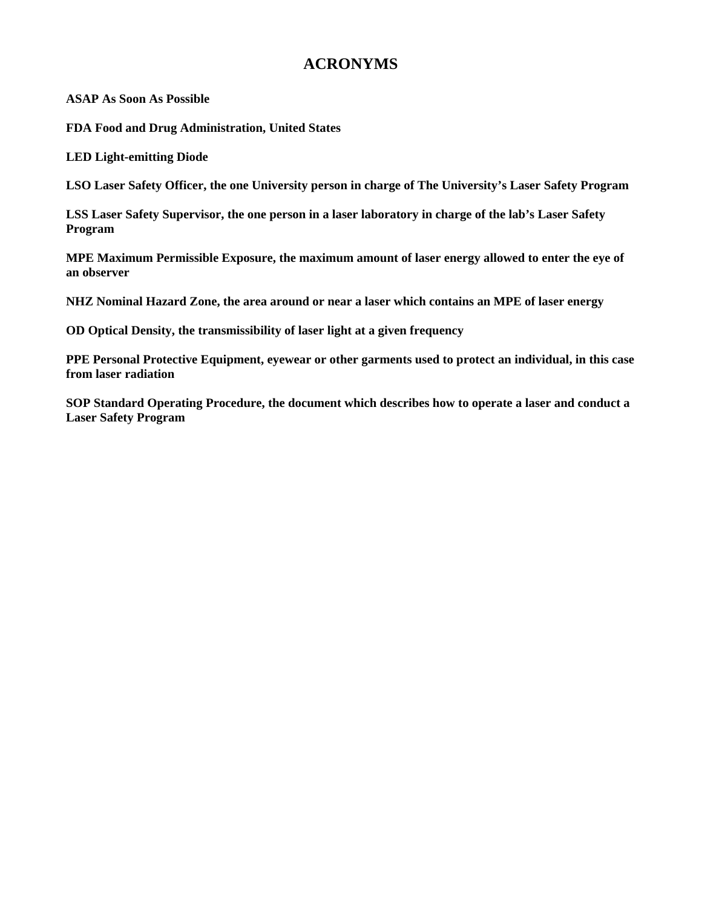## **ACRONYMS**

**ASAP As Soon As Possible** 

**FDA Food and Drug Administration, United States** 

**LED Light-emitting Diode** 

**LSO Laser Safety Officer, the one University person in charge of The University's Laser Safety Program** 

**LSS Laser Safety Supervisor, the one person in a laser laboratory in charge of the lab's Laser Safety Program** 

**MPE Maximum Permissible Exposure, the maximum amount of laser energy allowed to enter the eye of an observer** 

**NHZ Nominal Hazard Zone, the area around or near a laser which contains an MPE of laser energy** 

**OD Optical Density, the transmissibility of laser light at a given frequency** 

**PPE Personal Protective Equipment, eyewear or other garments used to protect an individual, in this case from laser radiation** 

**SOP Standard Operating Procedure, the document which describes how to operate a laser and conduct a Laser Safety Program**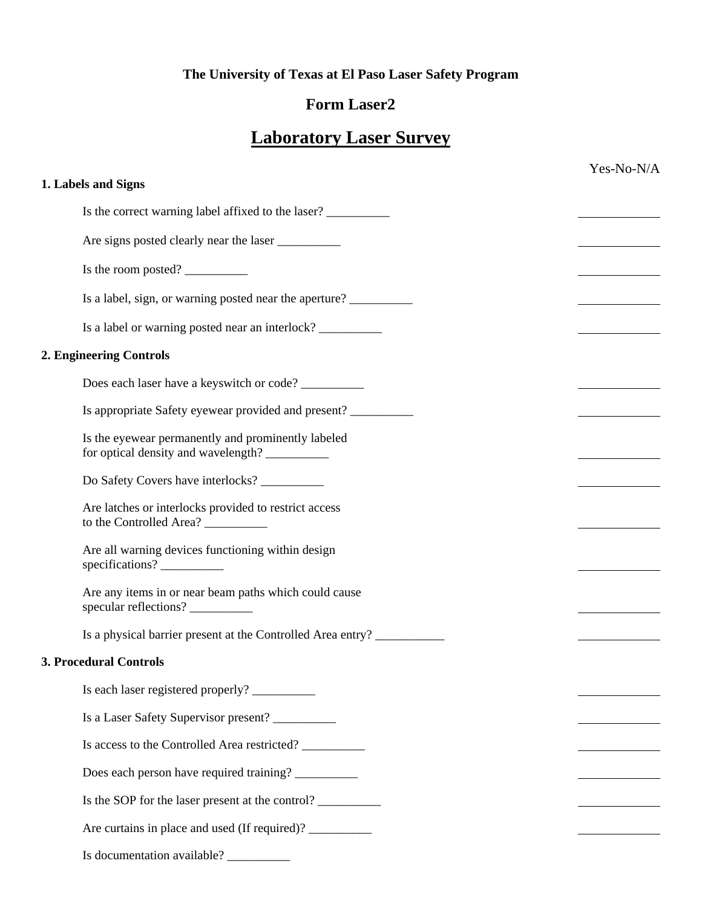## **The University of Texas at El Paso Laser Safety Program**

## **Form Laser2**

# **Laboratory Laser Survey**

| 1. Labels and Signs<br>Is the correct warning label affixed to the laser?<br>Are signs posted clearly near the laser<br>Is the room posted?<br>Is a label, sign, or warning posted near the aperture?<br>Is a label or warning posted near an interlock? _________________________________<br>2. Engineering Controls<br>Does each laser have a keyswitch or code?<br>Is appropriate Safety eyewear provided and present? ___________<br>Is the eyewear permanently and prominently labeled<br>for optical density and wavelength?<br>Do Safety Covers have interlocks?<br>Are latches or interlocks provided to restrict access<br>to the Controlled Area? |
|-------------------------------------------------------------------------------------------------------------------------------------------------------------------------------------------------------------------------------------------------------------------------------------------------------------------------------------------------------------------------------------------------------------------------------------------------------------------------------------------------------------------------------------------------------------------------------------------------------------------------------------------------------------|
|                                                                                                                                                                                                                                                                                                                                                                                                                                                                                                                                                                                                                                                             |
|                                                                                                                                                                                                                                                                                                                                                                                                                                                                                                                                                                                                                                                             |
|                                                                                                                                                                                                                                                                                                                                                                                                                                                                                                                                                                                                                                                             |
|                                                                                                                                                                                                                                                                                                                                                                                                                                                                                                                                                                                                                                                             |
|                                                                                                                                                                                                                                                                                                                                                                                                                                                                                                                                                                                                                                                             |
|                                                                                                                                                                                                                                                                                                                                                                                                                                                                                                                                                                                                                                                             |
|                                                                                                                                                                                                                                                                                                                                                                                                                                                                                                                                                                                                                                                             |
|                                                                                                                                                                                                                                                                                                                                                                                                                                                                                                                                                                                                                                                             |
|                                                                                                                                                                                                                                                                                                                                                                                                                                                                                                                                                                                                                                                             |
|                                                                                                                                                                                                                                                                                                                                                                                                                                                                                                                                                                                                                                                             |
|                                                                                                                                                                                                                                                                                                                                                                                                                                                                                                                                                                                                                                                             |
|                                                                                                                                                                                                                                                                                                                                                                                                                                                                                                                                                                                                                                                             |
| Are all warning devices functioning within design<br>specifications?                                                                                                                                                                                                                                                                                                                                                                                                                                                                                                                                                                                        |
| Are any items in or near beam paths which could cause<br>specular reflections?                                                                                                                                                                                                                                                                                                                                                                                                                                                                                                                                                                              |
| Is a physical barrier present at the Controlled Area entry?                                                                                                                                                                                                                                                                                                                                                                                                                                                                                                                                                                                                 |
| <b>3. Procedural Controls</b>                                                                                                                                                                                                                                                                                                                                                                                                                                                                                                                                                                                                                               |
|                                                                                                                                                                                                                                                                                                                                                                                                                                                                                                                                                                                                                                                             |
|                                                                                                                                                                                                                                                                                                                                                                                                                                                                                                                                                                                                                                                             |
| Is access to the Controlled Area restricted?                                                                                                                                                                                                                                                                                                                                                                                                                                                                                                                                                                                                                |
| Does each person have required training? __________                                                                                                                                                                                                                                                                                                                                                                                                                                                                                                                                                                                                         |
| Is the SOP for the laser present at the control?                                                                                                                                                                                                                                                                                                                                                                                                                                                                                                                                                                                                            |
|                                                                                                                                                                                                                                                                                                                                                                                                                                                                                                                                                                                                                                                             |
| Is documentation available? _________                                                                                                                                                                                                                                                                                                                                                                                                                                                                                                                                                                                                                       |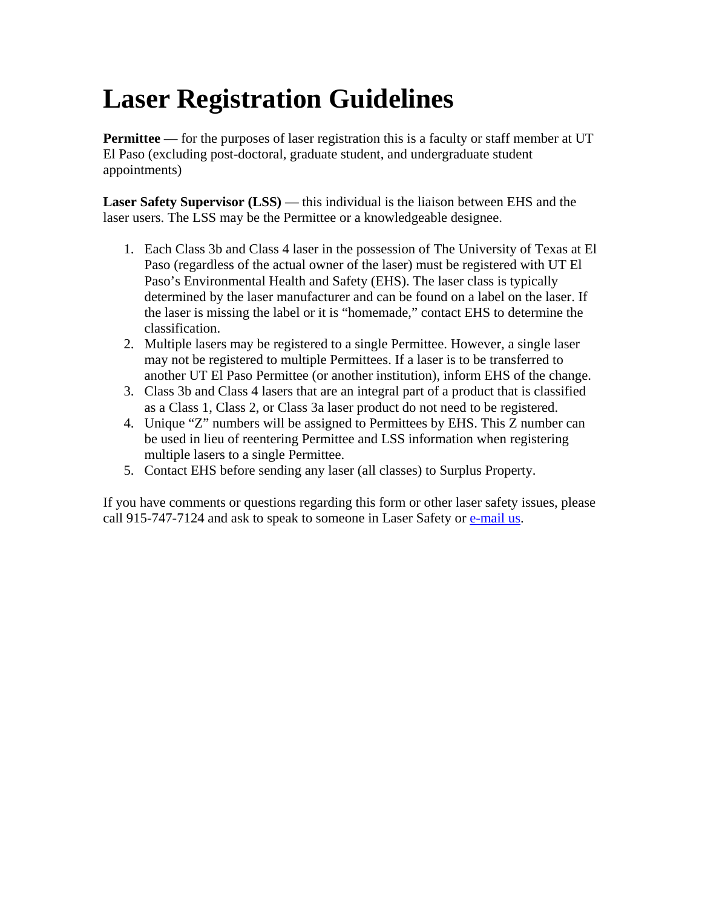# **Laser Registration Guidelines**

**Permittee** — for the purposes of laser registration this is a faculty or staff member at UT El Paso (excluding post-doctoral, graduate student, and undergraduate student appointments)

**Laser Safety Supervisor (LSS)** — this individual is the liaison between EHS and the laser users. The LSS may be the Permittee or a knowledgeable designee.

- 1. Each Class 3b and Class 4 laser in the possession of The University of Texas at El Paso (regardless of the actual owner of the laser) must be registered with UT El Paso's Environmental Health and Safety (EHS). The laser class is typically determined by the laser manufacturer and can be found on a label on the laser. If the laser is missing the label or it is "homemade," contact EHS to determine the classification.
- 2. Multiple lasers may be registered to a single Permittee. However, a single laser may not be registered to multiple Permittees. If a laser is to be transferred to another UT El Paso Permittee (or another institution), inform EHS of the change.
- 3. Class 3b and Class 4 lasers that are an integral part of a product that is classified as a Class 1, Class 2, or Class 3a laser product do not need to be registered.
- 4. Unique "Z" numbers will be assigned to Permittees by EHS. This Z number can be used in lieu of reentering Permittee and LSS information when registering multiple lasers to a single Permittee.
- 5. Contact EHS before sending any laser (all classes) to Surplus Property.

If you have comments or questions regarding this form or other laser safety issues, please call 915-747-7124 and ask to speak to someone in Laser Safety or e-mail us.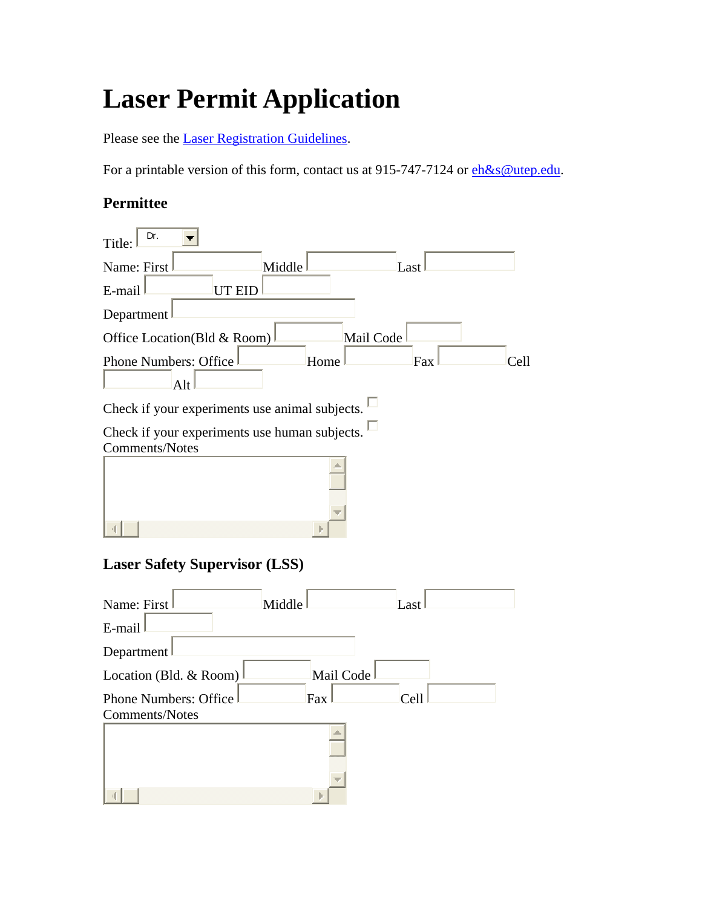# **Laser Permit Application**

Please see the Laser Registration Guidelines.

For a printable version of this form, contact us at 915-747-7124 or  $eh\&s@utep.edu$ .

## **Permittee**

| Dr.<br>Title:                                  |                                                |           |      |
|------------------------------------------------|------------------------------------------------|-----------|------|
| Name: First                                    | Middle                                         | Last      |      |
| E-mail                                         | <b>UT EID</b>                                  |           |      |
| Department                                     |                                                |           |      |
| Office Location(Bld & Room)                    |                                                | Mail Code |      |
| <b>Phone Numbers: Office</b><br>Alt            | Home                                           | Fax       | Cell |
|                                                | Check if your experiments use animal subjects. |           |      |
| <b>Comments/Notes</b>                          | Check if your experiments use human subjects.  |           |      |
|                                                | <b>Laser Safety Supervisor (LSS)</b>           |           |      |
| Name: First<br>E-mail                          | Middle                                         | Last      |      |
| Department                                     |                                                |           |      |
| Location (Bld. & Room)                         |                                                | Mail Code |      |
| <b>Phone Numbers: Office</b><br>Comments/Notes | Fax                                            | Cell      |      |
|                                                |                                                |           |      |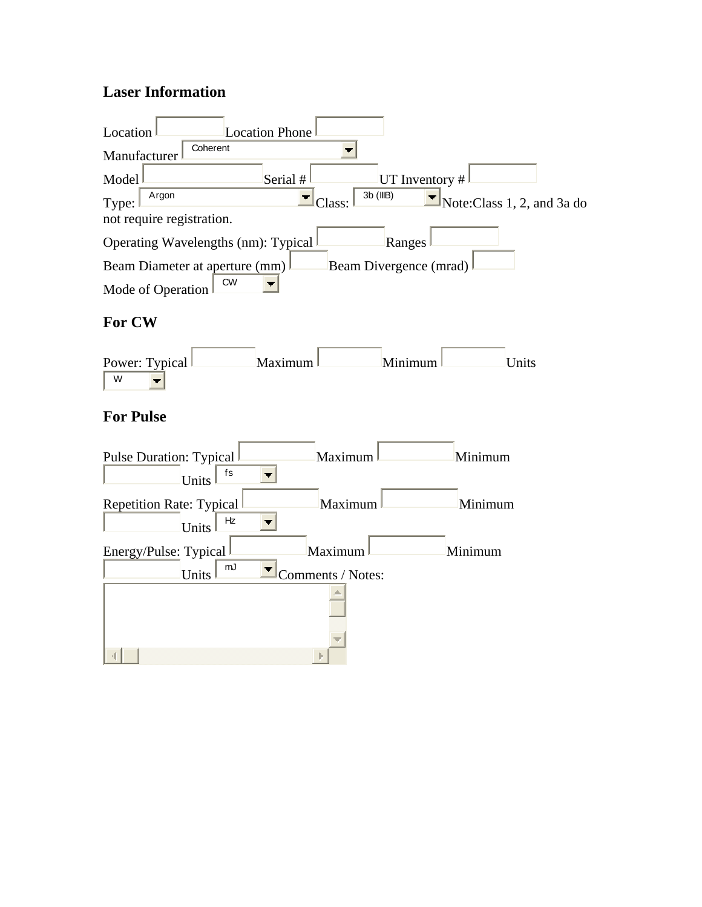## **Laser Information**

| Location                            | Location Phone      |                             |
|-------------------------------------|---------------------|-----------------------------|
| Coherent<br>Manufacturer            |                     |                             |
| Model                               | Serial #            | UT Inventory #              |
| Argon<br>Type:                      | 3b (IIIB)<br>Class: | Note: Class 1, 2, and 3a do |
| not require registration.           |                     |                             |
| Operating Wavelengths (nm): Typical |                     | Ranges                      |
| Beam Diameter at aperture (mm)      |                     | Beam Divergence (mrad)      |
| <b>CW</b><br>Mode of Operation      |                     |                             |

## **For CW**



# **For Pulse**

| Pulse Duration: Typical                 | Maximum           | Minimum |
|-----------------------------------------|-------------------|---------|
| fs<br>Units                             |                   |         |
| Repetition Rate: Typical<br>Hz<br>Units | Maximum           | Minimum |
| Energy/Pulse: Typical                   | Maximum           | Minimum |
| mJ<br>Units                             | Comments / Notes: |         |
|                                         |                   |         |
|                                         |                   |         |
|                                         |                   |         |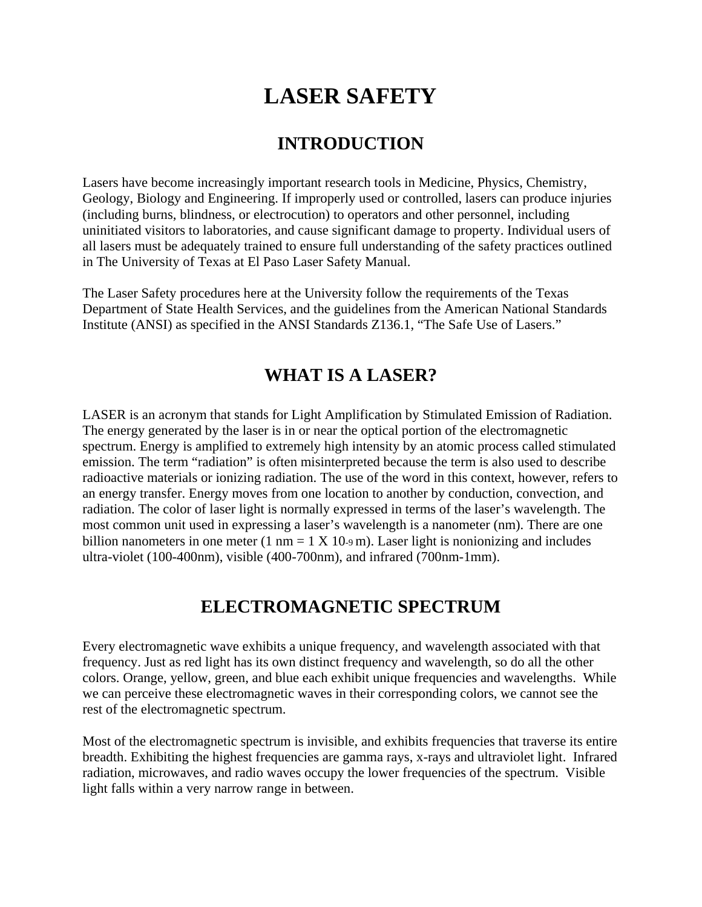# **LASER SAFETY**

## **INTRODUCTION**

Lasers have become increasingly important research tools in Medicine, Physics, Chemistry, Geology, Biology and Engineering. If improperly used or controlled, lasers can produce injuries (including burns, blindness, or electrocution) to operators and other personnel, including uninitiated visitors to laboratories, and cause significant damage to property. Individual users of all lasers must be adequately trained to ensure full understanding of the safety practices outlined in The University of Texas at El Paso Laser Safety Manual.

The Laser Safety procedures here at the University follow the requirements of the Texas Department of State Health Services, and the guidelines from the American National Standards Institute (ANSI) as specified in the ANSI Standards Z136.1, "The Safe Use of Lasers."

# **WHAT IS A LASER?**

LASER is an acronym that stands for Light Amplification by Stimulated Emission of Radiation. The energy generated by the laser is in or near the optical portion of the electromagnetic spectrum. Energy is amplified to extremely high intensity by an atomic process called stimulated emission. The term "radiation" is often misinterpreted because the term is also used to describe radioactive materials or ionizing radiation. The use of the word in this context, however, refers to an energy transfer. Energy moves from one location to another by conduction, convection, and radiation. The color of laser light is normally expressed in terms of the laser's wavelength. The most common unit used in expressing a laser's wavelength is a nanometer (nm). There are one billion nanometers in one meter (1 nm =  $1 \text{ X } 10$ -9 m). Laser light is nonionizing and includes ultra-violet (100-400nm), visible (400-700nm), and infrared (700nm-1mm).

## **ELECTROMAGNETIC SPECTRUM**

Every electromagnetic wave exhibits a unique frequency, and wavelength associated with that frequency. Just as red light has its own distinct frequency and wavelength, so do all the other colors. Orange, yellow, green, and blue each exhibit unique frequencies and wavelengths. While we can perceive these electromagnetic waves in their corresponding colors, we cannot see the rest of the electromagnetic spectrum.

Most of the electromagnetic spectrum is invisible, and exhibits frequencies that traverse its entire breadth. Exhibiting the highest frequencies are gamma rays, x-rays and ultraviolet light. Infrared radiation, microwaves, and radio waves occupy the lower frequencies of the spectrum. Visible light falls within a very narrow range in between.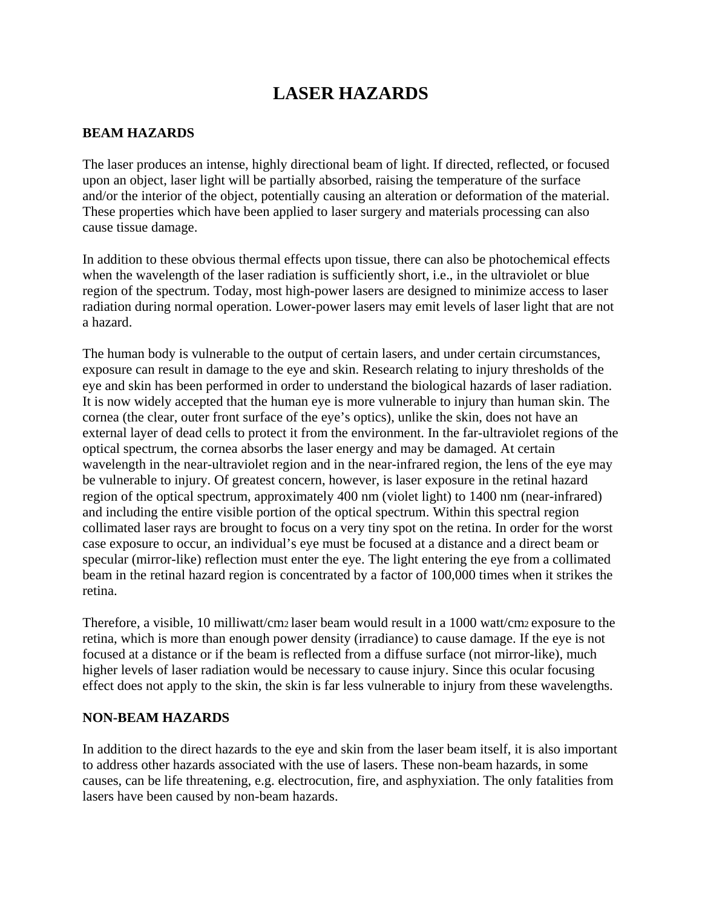# **LASER HAZARDS**

### **BEAM HAZARDS**

The laser produces an intense, highly directional beam of light. If directed, reflected, or focused upon an object, laser light will be partially absorbed, raising the temperature of the surface and/or the interior of the object, potentially causing an alteration or deformation of the material. These properties which have been applied to laser surgery and materials processing can also cause tissue damage.

In addition to these obvious thermal effects upon tissue, there can also be photochemical effects when the wavelength of the laser radiation is sufficiently short, i.e., in the ultraviolet or blue region of the spectrum. Today, most high-power lasers are designed to minimize access to laser radiation during normal operation. Lower-power lasers may emit levels of laser light that are not a hazard.

The human body is vulnerable to the output of certain lasers, and under certain circumstances, exposure can result in damage to the eye and skin. Research relating to injury thresholds of the eye and skin has been performed in order to understand the biological hazards of laser radiation. It is now widely accepted that the human eye is more vulnerable to injury than human skin. The cornea (the clear, outer front surface of the eye's optics), unlike the skin, does not have an external layer of dead cells to protect it from the environment. In the far-ultraviolet regions of the optical spectrum, the cornea absorbs the laser energy and may be damaged. At certain wavelength in the near-ultraviolet region and in the near-infrared region, the lens of the eye may be vulnerable to injury. Of greatest concern, however, is laser exposure in the retinal hazard region of the optical spectrum, approximately 400 nm (violet light) to 1400 nm (near-infrared) and including the entire visible portion of the optical spectrum. Within this spectral region collimated laser rays are brought to focus on a very tiny spot on the retina. In order for the worst case exposure to occur, an individual's eye must be focused at a distance and a direct beam or specular (mirror-like) reflection must enter the eye. The light entering the eye from a collimated beam in the retinal hazard region is concentrated by a factor of 100,000 times when it strikes the retina.

Therefore, a visible, 10 milliwatt/cm2 laser beam would result in a 1000 watt/cm2 exposure to the retina, which is more than enough power density (irradiance) to cause damage. If the eye is not focused at a distance or if the beam is reflected from a diffuse surface (not mirror-like), much higher levels of laser radiation would be necessary to cause injury. Since this ocular focusing effect does not apply to the skin, the skin is far less vulnerable to injury from these wavelengths.

### **NON-BEAM HAZARDS**

In addition to the direct hazards to the eye and skin from the laser beam itself, it is also important to address other hazards associated with the use of lasers. These non-beam hazards, in some causes, can be life threatening, e.g. electrocution, fire, and asphyxiation. The only fatalities from lasers have been caused by non-beam hazards.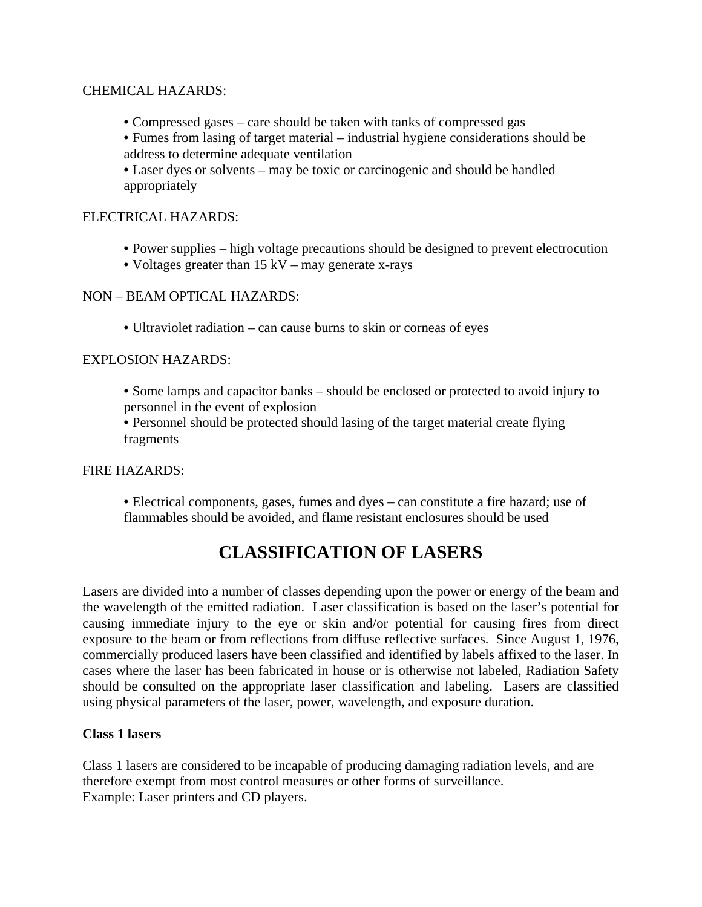### CHEMICAL HAZARDS:

- Compressed gases care should be taken with tanks of compressed gas
- Fumes from lasing of target material industrial hygiene considerations should be address to determine adequate ventilation

• Laser dyes or solvents – may be toxic or carcinogenic and should be handled appropriately

### ELECTRICAL HAZARDS:

- Power supplies high voltage precautions should be designed to prevent electrocution
- Voltages greater than 15 kV may generate x-rays

NON – BEAM OPTICAL HAZARDS:

• Ultraviolet radiation – can cause burns to skin or corneas of eyes

### EXPLOSION HAZARDS:

• Some lamps and capacitor banks – should be enclosed or protected to avoid injury to personnel in the event of explosion

• Personnel should be protected should lasing of the target material create flying fragments

FIRE HAZARDS:

• Electrical components, gases, fumes and dyes – can constitute a fire hazard; use of flammables should be avoided, and flame resistant enclosures should be used

# **CLASSIFICATION OF LASERS**

Lasers are divided into a number of classes depending upon the power or energy of the beam and the wavelength of the emitted radiation. Laser classification is based on the laser's potential for causing immediate injury to the eye or skin and/or potential for causing fires from direct exposure to the beam or from reflections from diffuse reflective surfaces. Since August 1, 1976, commercially produced lasers have been classified and identified by labels affixed to the laser. In cases where the laser has been fabricated in house or is otherwise not labeled, Radiation Safety should be consulted on the appropriate laser classification and labeling. Lasers are classified using physical parameters of the laser, power, wavelength, and exposure duration.

### **Class 1 lasers**

Class 1 lasers are considered to be incapable of producing damaging radiation levels, and are therefore exempt from most control measures or other forms of surveillance. Example: Laser printers and CD players.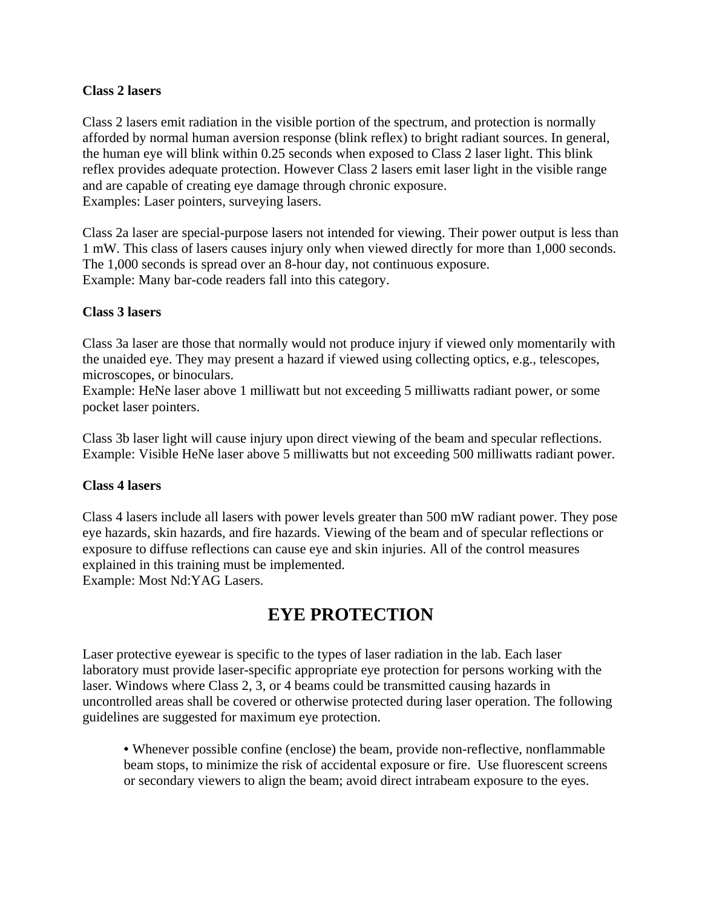### **Class 2 lasers**

Class 2 lasers emit radiation in the visible portion of the spectrum, and protection is normally afforded by normal human aversion response (blink reflex) to bright radiant sources. In general, the human eye will blink within 0.25 seconds when exposed to Class 2 laser light. This blink reflex provides adequate protection. However Class 2 lasers emit laser light in the visible range and are capable of creating eye damage through chronic exposure. Examples: Laser pointers, surveying lasers.

Class 2a laser are special-purpose lasers not intended for viewing. Their power output is less than 1 mW. This class of lasers causes injury only when viewed directly for more than 1,000 seconds. The 1,000 seconds is spread over an 8-hour day, not continuous exposure. Example: Many bar-code readers fall into this category.

### **Class 3 lasers**

Class 3a laser are those that normally would not produce injury if viewed only momentarily with the unaided eye. They may present a hazard if viewed using collecting optics, e.g., telescopes, microscopes, or binoculars.

Example: HeNe laser above 1 milliwatt but not exceeding 5 milliwatts radiant power, or some pocket laser pointers.

Class 3b laser light will cause injury upon direct viewing of the beam and specular reflections. Example: Visible HeNe laser above 5 milliwatts but not exceeding 500 milliwatts radiant power.

### **Class 4 lasers**

Class 4 lasers include all lasers with power levels greater than 500 mW radiant power. They pose eye hazards, skin hazards, and fire hazards. Viewing of the beam and of specular reflections or exposure to diffuse reflections can cause eye and skin injuries. All of the control measures explained in this training must be implemented. Example: Most Nd:YAG Lasers.

## **EYE PROTECTION**

Laser protective eyewear is specific to the types of laser radiation in the lab. Each laser laboratory must provide laser-specific appropriate eye protection for persons working with the laser. Windows where Class 2, 3, or 4 beams could be transmitted causing hazards in uncontrolled areas shall be covered or otherwise protected during laser operation. The following guidelines are suggested for maximum eye protection.

• Whenever possible confine (enclose) the beam, provide non-reflective, nonflammable beam stops, to minimize the risk of accidental exposure or fire. Use fluorescent screens or secondary viewers to align the beam; avoid direct intrabeam exposure to the eyes.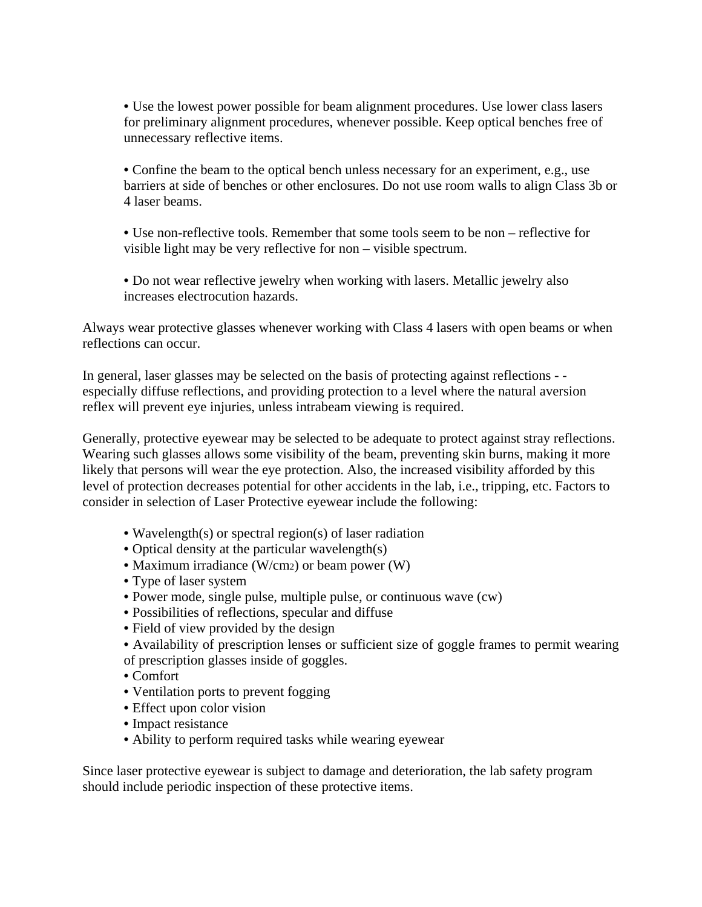• Use the lowest power possible for beam alignment procedures. Use lower class lasers for preliminary alignment procedures, whenever possible. Keep optical benches free of unnecessary reflective items.

• Confine the beam to the optical bench unless necessary for an experiment, e.g., use barriers at side of benches or other enclosures. Do not use room walls to align Class 3b or 4 laser beams.

• Use non-reflective tools. Remember that some tools seem to be non – reflective for visible light may be very reflective for non – visible spectrum.

• Do not wear reflective jewelry when working with lasers. Metallic jewelry also increases electrocution hazards.

Always wear protective glasses whenever working with Class 4 lasers with open beams or when reflections can occur.

In general, laser glasses may be selected on the basis of protecting against reflections - especially diffuse reflections, and providing protection to a level where the natural aversion reflex will prevent eye injuries, unless intrabeam viewing is required.

Generally, protective eyewear may be selected to be adequate to protect against stray reflections. Wearing such glasses allows some visibility of the beam, preventing skin burns, making it more likely that persons will wear the eye protection. Also, the increased visibility afforded by this level of protection decreases potential for other accidents in the lab, i.e., tripping, etc. Factors to consider in selection of Laser Protective eyewear include the following:

- Wavelength(s) or spectral region(s) of laser radiation
- Optical density at the particular wavelength(s)
- Maximum irradiance (W/cm2) or beam power (W)
- Type of laser system
- Power mode, single pulse, multiple pulse, or continuous wave (cw)
- Possibilities of reflections, specular and diffuse
- Field of view provided by the design
- Availability of prescription lenses or sufficient size of goggle frames to permit wearing of prescription glasses inside of goggles.
- Comfort
- Ventilation ports to prevent fogging
- Effect upon color vision
- Impact resistance
- Ability to perform required tasks while wearing eyewear

Since laser protective eyewear is subject to damage and deterioration, the lab safety program should include periodic inspection of these protective items.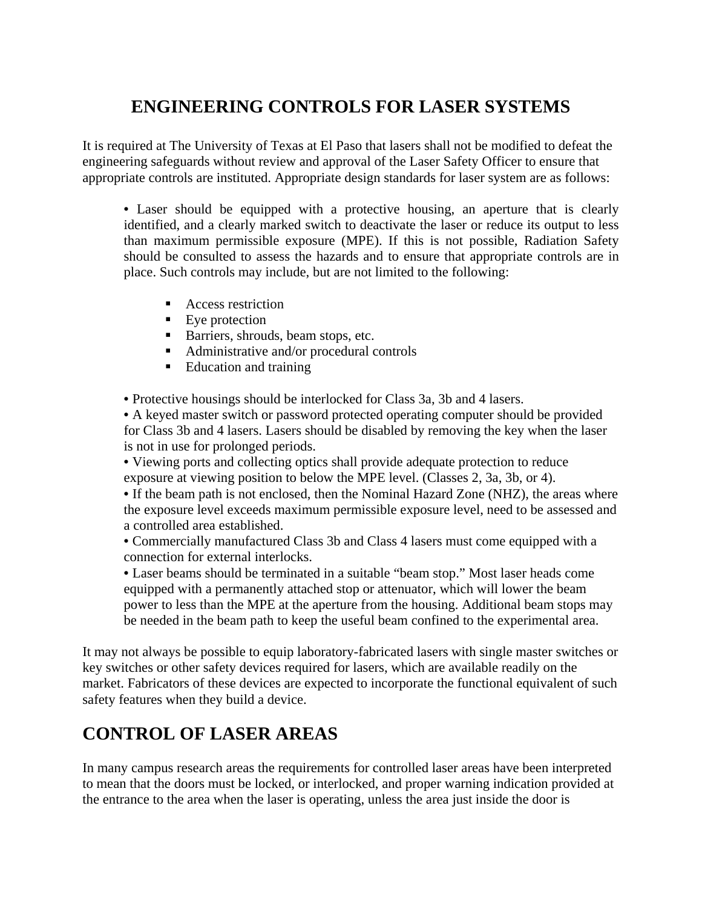# **ENGINEERING CONTROLS FOR LASER SYSTEMS**

It is required at The University of Texas at El Paso that lasers shall not be modified to defeat the engineering safeguards without review and approval of the Laser Safety Officer to ensure that appropriate controls are instituted. Appropriate design standards for laser system are as follows:

• Laser should be equipped with a protective housing, an aperture that is clearly identified, and a clearly marked switch to deactivate the laser or reduce its output to less than maximum permissible exposure (MPE). If this is not possible, Radiation Safety should be consulted to assess the hazards and to ensure that appropriate controls are in place. Such controls may include, but are not limited to the following:

- Access restriction
- **Eye** protection
- Barriers, shrouds, beam stops, etc.
- Administrative and/or procedural controls
- Education and training

• Protective housings should be interlocked for Class 3a, 3b and 4 lasers.

• A keyed master switch or password protected operating computer should be provided for Class 3b and 4 lasers. Lasers should be disabled by removing the key when the laser is not in use for prolonged periods.

• Viewing ports and collecting optics shall provide adequate protection to reduce exposure at viewing position to below the MPE level. (Classes 2, 3a, 3b, or 4).

• If the beam path is not enclosed, then the Nominal Hazard Zone (NHZ), the areas where the exposure level exceeds maximum permissible exposure level, need to be assessed and a controlled area established.

• Commercially manufactured Class 3b and Class 4 lasers must come equipped with a connection for external interlocks.

• Laser beams should be terminated in a suitable "beam stop." Most laser heads come equipped with a permanently attached stop or attenuator, which will lower the beam power to less than the MPE at the aperture from the housing. Additional beam stops may be needed in the beam path to keep the useful beam confined to the experimental area.

It may not always be possible to equip laboratory-fabricated lasers with single master switches or key switches or other safety devices required for lasers, which are available readily on the market. Fabricators of these devices are expected to incorporate the functional equivalent of such safety features when they build a device.

# **CONTROL OF LASER AREAS**

In many campus research areas the requirements for controlled laser areas have been interpreted to mean that the doors must be locked, or interlocked, and proper warning indication provided at the entrance to the area when the laser is operating, unless the area just inside the door is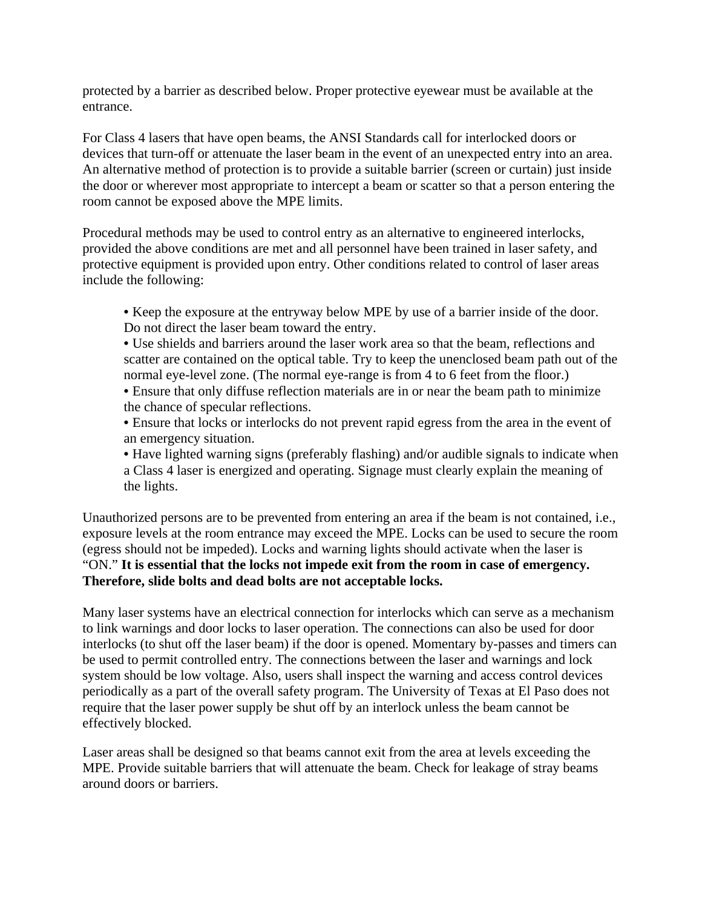protected by a barrier as described below. Proper protective eyewear must be available at the entrance.

For Class 4 lasers that have open beams, the ANSI Standards call for interlocked doors or devices that turn-off or attenuate the laser beam in the event of an unexpected entry into an area. An alternative method of protection is to provide a suitable barrier (screen or curtain) just inside the door or wherever most appropriate to intercept a beam or scatter so that a person entering the room cannot be exposed above the MPE limits.

Procedural methods may be used to control entry as an alternative to engineered interlocks, provided the above conditions are met and all personnel have been trained in laser safety, and protective equipment is provided upon entry. Other conditions related to control of laser areas include the following:

- Keep the exposure at the entryway below MPE by use of a barrier inside of the door. Do not direct the laser beam toward the entry.
- Use shields and barriers around the laser work area so that the beam, reflections and scatter are contained on the optical table. Try to keep the unenclosed beam path out of the normal eye-level zone. (The normal eye-range is from 4 to 6 feet from the floor.)
- Ensure that only diffuse reflection materials are in or near the beam path to minimize the chance of specular reflections.
- Ensure that locks or interlocks do not prevent rapid egress from the area in the event of an emergency situation.
- Have lighted warning signs (preferably flashing) and/or audible signals to indicate when a Class 4 laser is energized and operating. Signage must clearly explain the meaning of the lights.

Unauthorized persons are to be prevented from entering an area if the beam is not contained, i.e., exposure levels at the room entrance may exceed the MPE. Locks can be used to secure the room (egress should not be impeded). Locks and warning lights should activate when the laser is "ON." **It is essential that the locks not impede exit from the room in case of emergency. Therefore, slide bolts and dead bolts are not acceptable locks.** 

Many laser systems have an electrical connection for interlocks which can serve as a mechanism to link warnings and door locks to laser operation. The connections can also be used for door interlocks (to shut off the laser beam) if the door is opened. Momentary by-passes and timers can be used to permit controlled entry. The connections between the laser and warnings and lock system should be low voltage. Also, users shall inspect the warning and access control devices periodically as a part of the overall safety program. The University of Texas at El Paso does not require that the laser power supply be shut off by an interlock unless the beam cannot be effectively blocked.

Laser areas shall be designed so that beams cannot exit from the area at levels exceeding the MPE. Provide suitable barriers that will attenuate the beam. Check for leakage of stray beams around doors or barriers.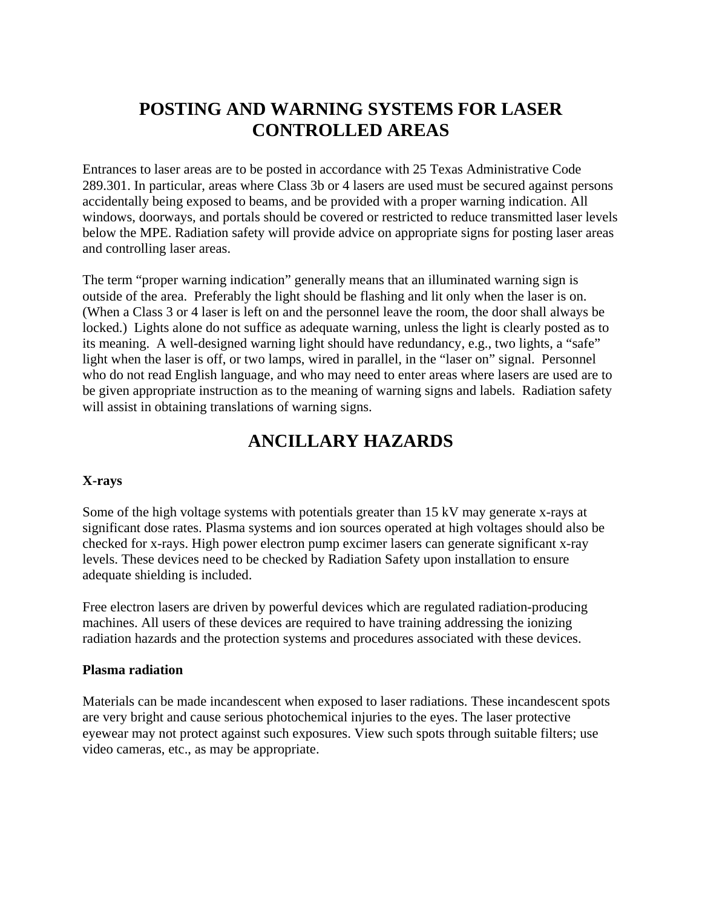# **POSTING AND WARNING SYSTEMS FOR LASER CONTROLLED AREAS**

Entrances to laser areas are to be posted in accordance with 25 Texas Administrative Code 289.301. In particular, areas where Class 3b or 4 lasers are used must be secured against persons accidentally being exposed to beams, and be provided with a proper warning indication. All windows, doorways, and portals should be covered or restricted to reduce transmitted laser levels below the MPE. Radiation safety will provide advice on appropriate signs for posting laser areas and controlling laser areas.

The term "proper warning indication" generally means that an illuminated warning sign is outside of the area. Preferably the light should be flashing and lit only when the laser is on. (When a Class 3 or 4 laser is left on and the personnel leave the room, the door shall always be locked.) Lights alone do not suffice as adequate warning, unless the light is clearly posted as to its meaning. A well-designed warning light should have redundancy, e.g., two lights, a "safe" light when the laser is off, or two lamps, wired in parallel, in the "laser on" signal. Personnel who do not read English language, and who may need to enter areas where lasers are used are to be given appropriate instruction as to the meaning of warning signs and labels. Radiation safety will assist in obtaining translations of warning signs.

## **ANCILLARY HAZARDS**

### **X-rays**

Some of the high voltage systems with potentials greater than 15 kV may generate x-rays at significant dose rates. Plasma systems and ion sources operated at high voltages should also be checked for x-rays. High power electron pump excimer lasers can generate significant x-ray levels. These devices need to be checked by Radiation Safety upon installation to ensure adequate shielding is included.

Free electron lasers are driven by powerful devices which are regulated radiation-producing machines. All users of these devices are required to have training addressing the ionizing radiation hazards and the protection systems and procedures associated with these devices.

### **Plasma radiation**

Materials can be made incandescent when exposed to laser radiations. These incandescent spots are very bright and cause serious photochemical injuries to the eyes. The laser protective eyewear may not protect against such exposures. View such spots through suitable filters; use video cameras, etc., as may be appropriate.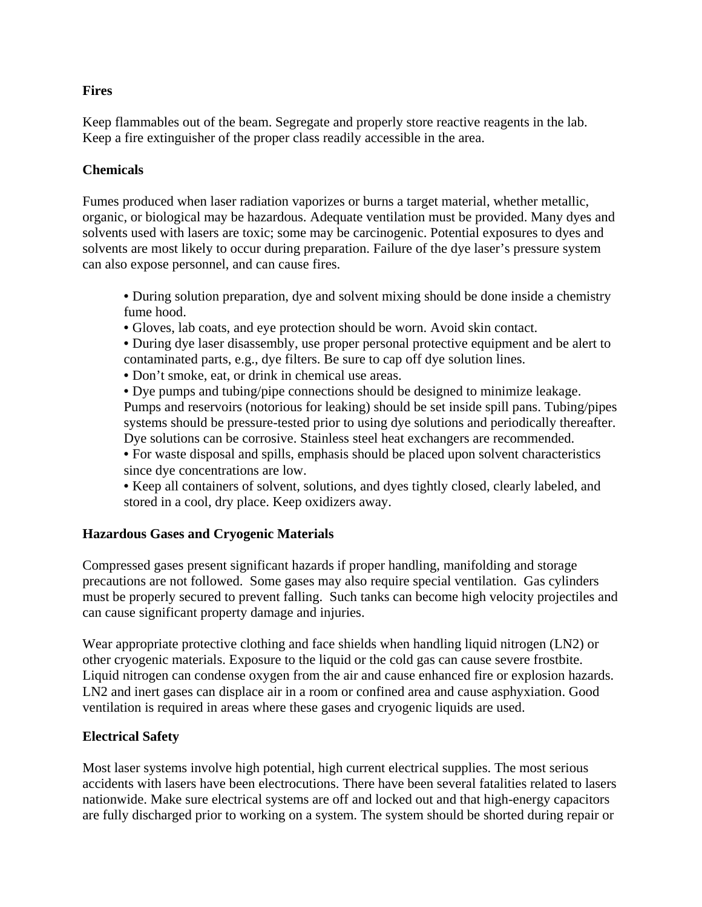### **Fires**

Keep flammables out of the beam. Segregate and properly store reactive reagents in the lab. Keep a fire extinguisher of the proper class readily accessible in the area.

### **Chemicals**

Fumes produced when laser radiation vaporizes or burns a target material, whether metallic, organic, or biological may be hazardous. Adequate ventilation must be provided. Many dyes and solvents used with lasers are toxic; some may be carcinogenic. Potential exposures to dyes and solvents are most likely to occur during preparation. Failure of the dye laser's pressure system can also expose personnel, and can cause fires.

- During solution preparation, dye and solvent mixing should be done inside a chemistry fume hood.
- Gloves, lab coats, and eye protection should be worn. Avoid skin contact.
- During dye laser disassembly, use proper personal protective equipment and be alert to contaminated parts, e.g., dye filters. Be sure to cap off dye solution lines.
- Don't smoke, eat, or drink in chemical use areas.
- Dye pumps and tubing/pipe connections should be designed to minimize leakage. Pumps and reservoirs (notorious for leaking) should be set inside spill pans. Tubing/pipes systems should be pressure-tested prior to using dye solutions and periodically thereafter. Dye solutions can be corrosive. Stainless steel heat exchangers are recommended.
- For waste disposal and spills, emphasis should be placed upon solvent characteristics since dye concentrations are low.
- Keep all containers of solvent, solutions, and dyes tightly closed, clearly labeled, and stored in a cool, dry place. Keep oxidizers away.

### **Hazardous Gases and Cryogenic Materials**

Compressed gases present significant hazards if proper handling, manifolding and storage precautions are not followed. Some gases may also require special ventilation. Gas cylinders must be properly secured to prevent falling. Such tanks can become high velocity projectiles and can cause significant property damage and injuries.

Wear appropriate protective clothing and face shields when handling liquid nitrogen (LN2) or other cryogenic materials. Exposure to the liquid or the cold gas can cause severe frostbite. Liquid nitrogen can condense oxygen from the air and cause enhanced fire or explosion hazards. LN2 and inert gases can displace air in a room or confined area and cause asphyxiation. Good ventilation is required in areas where these gases and cryogenic liquids are used.

### **Electrical Safety**

Most laser systems involve high potential, high current electrical supplies. The most serious accidents with lasers have been electrocutions. There have been several fatalities related to lasers nationwide. Make sure electrical systems are off and locked out and that high-energy capacitors are fully discharged prior to working on a system. The system should be shorted during repair or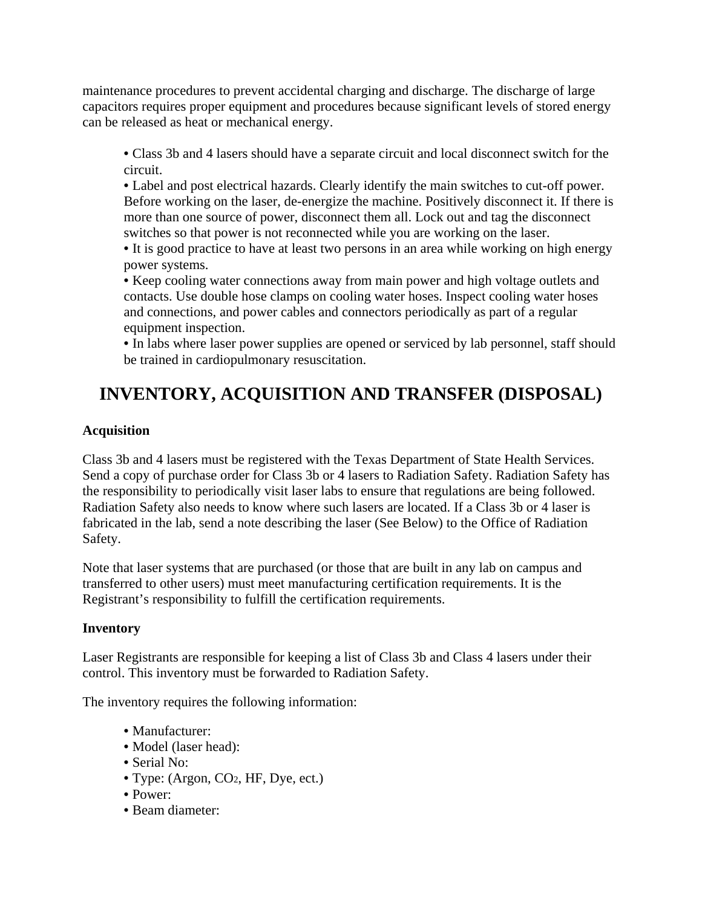maintenance procedures to prevent accidental charging and discharge. The discharge of large capacitors requires proper equipment and procedures because significant levels of stored energy can be released as heat or mechanical energy.

• Class 3b and 4 lasers should have a separate circuit and local disconnect switch for the circuit.

• Label and post electrical hazards. Clearly identify the main switches to cut-off power. Before working on the laser, de-energize the machine. Positively disconnect it. If there is more than one source of power, disconnect them all. Lock out and tag the disconnect switches so that power is not reconnected while you are working on the laser.

• It is good practice to have at least two persons in an area while working on high energy power systems.

• Keep cooling water connections away from main power and high voltage outlets and contacts. Use double hose clamps on cooling water hoses. Inspect cooling water hoses and connections, and power cables and connectors periodically as part of a regular equipment inspection.

• In labs where laser power supplies are opened or serviced by lab personnel, staff should be trained in cardiopulmonary resuscitation.

# **INVENTORY, ACQUISITION AND TRANSFER (DISPOSAL)**

### **Acquisition**

Class 3b and 4 lasers must be registered with the Texas Department of State Health Services. Send a copy of purchase order for Class 3b or 4 lasers to Radiation Safety. Radiation Safety has the responsibility to periodically visit laser labs to ensure that regulations are being followed. Radiation Safety also needs to know where such lasers are located. If a Class 3b or 4 laser is fabricated in the lab, send a note describing the laser (See Below) to the Office of Radiation Safety.

Note that laser systems that are purchased (or those that are built in any lab on campus and transferred to other users) must meet manufacturing certification requirements. It is the Registrant's responsibility to fulfill the certification requirements.

### **Inventory**

Laser Registrants are responsible for keeping a list of Class 3b and Class 4 lasers under their control. This inventory must be forwarded to Radiation Safety.

The inventory requires the following information:

- Manufacturer:
- Model (laser head):
- Serial No:
- Type: (Argon, CO2, HF, Dye, ect.)
- Power:
- Beam diameter: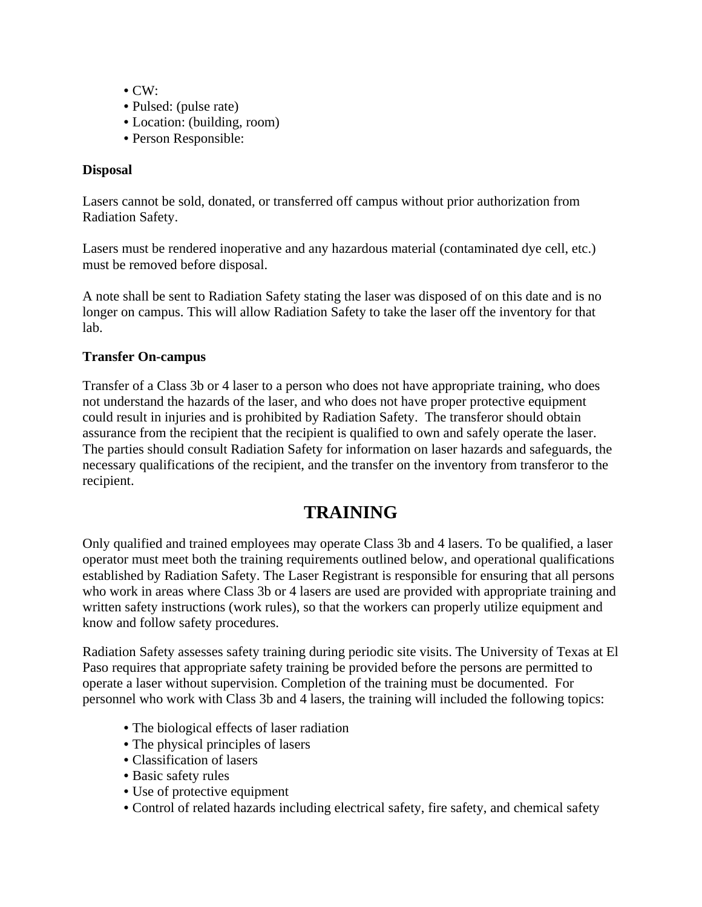- $\bullet$  CW:
- Pulsed: (pulse rate)
- Location: (building, room)
- Person Responsible:

### **Disposal**

Lasers cannot be sold, donated, or transferred off campus without prior authorization from Radiation Safety.

Lasers must be rendered inoperative and any hazardous material (contaminated dye cell, etc.) must be removed before disposal.

A note shall be sent to Radiation Safety stating the laser was disposed of on this date and is no longer on campus. This will allow Radiation Safety to take the laser off the inventory for that lab.

### **Transfer On-campus**

Transfer of a Class 3b or 4 laser to a person who does not have appropriate training, who does not understand the hazards of the laser, and who does not have proper protective equipment could result in injuries and is prohibited by Radiation Safety. The transferor should obtain assurance from the recipient that the recipient is qualified to own and safely operate the laser. The parties should consult Radiation Safety for information on laser hazards and safeguards, the necessary qualifications of the recipient, and the transfer on the inventory from transferor to the recipient.

## **TRAINING**

Only qualified and trained employees may operate Class 3b and 4 lasers. To be qualified, a laser operator must meet both the training requirements outlined below, and operational qualifications established by Radiation Safety. The Laser Registrant is responsible for ensuring that all persons who work in areas where Class 3b or 4 lasers are used are provided with appropriate training and written safety instructions (work rules), so that the workers can properly utilize equipment and know and follow safety procedures.

Radiation Safety assesses safety training during periodic site visits. The University of Texas at El Paso requires that appropriate safety training be provided before the persons are permitted to operate a laser without supervision. Completion of the training must be documented. For personnel who work with Class 3b and 4 lasers, the training will included the following topics:

- The biological effects of laser radiation
- The physical principles of lasers
- Classification of lasers
- Basic safety rules
- Use of protective equipment
- Control of related hazards including electrical safety, fire safety, and chemical safety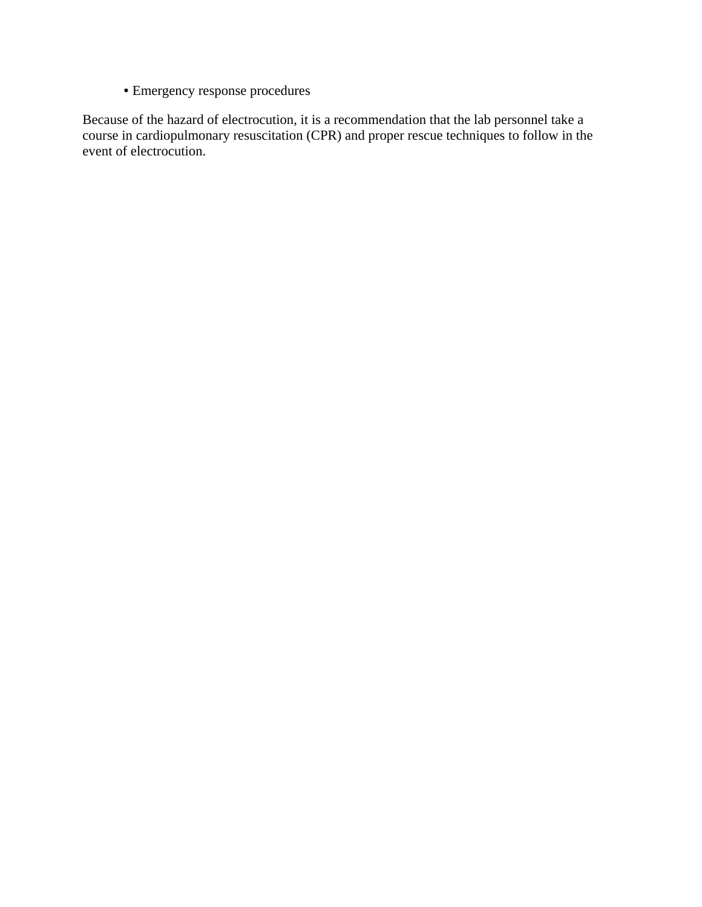• Emergency response procedures

Because of the hazard of electrocution, it is a recommendation that the lab personnel take a course in cardiopulmonary resuscitation (CPR) and proper rescue techniques to follow in the event of electrocution.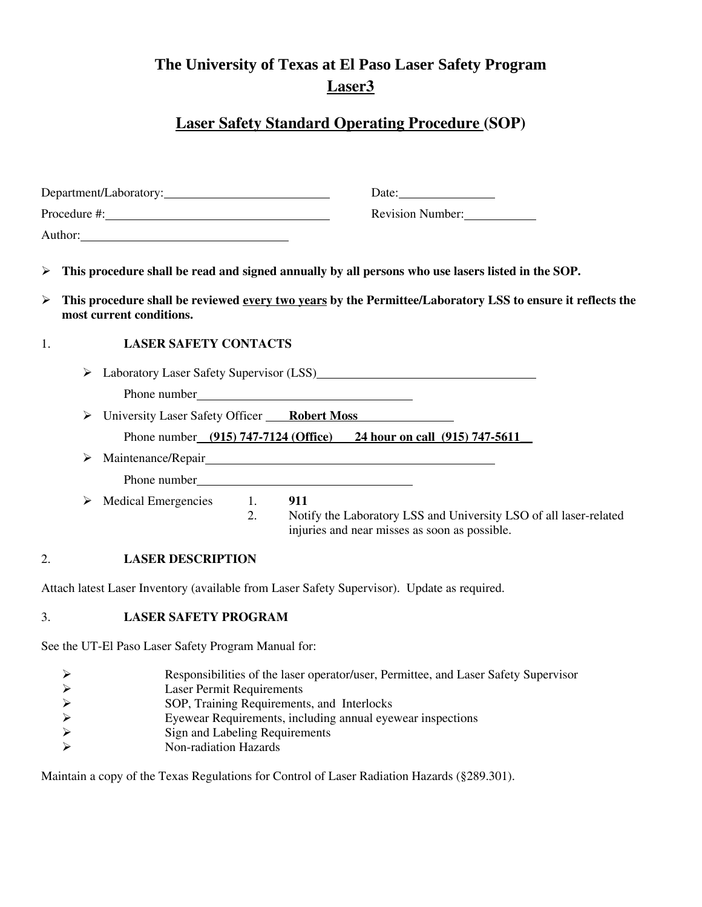## **The University of Texas at El Paso Laser Safety Program Laser3**

## **Laser Safety Standard Operating Procedure (SOP)**

| Department/Laboratory: |        |                              | Date: $\_\_$     |                                                                                                                                                                                                                   |
|------------------------|--------|------------------------------|------------------|-------------------------------------------------------------------------------------------------------------------------------------------------------------------------------------------------------------------|
|                        |        |                              | Revision Number: |                                                                                                                                                                                                                   |
|                        |        | Author:                      |                  |                                                                                                                                                                                                                   |
| $\blacktriangleright$  |        |                              |                  | This procedure shall be read and signed annually by all persons who use lasers listed in the SOP.                                                                                                                 |
| $\blacktriangleright$  |        | most current conditions.     |                  | This procedure shall be reviewed every two years by the Permittee/Laboratory LSS to ensure it reflects the                                                                                                        |
| 1.                     |        | <b>LASER SAFETY CONTACTS</b> |                  |                                                                                                                                                                                                                   |
|                        | ➤<br>➤ |                              |                  | Laboratory Laser Safety Supervisor (LSS)<br><u>Laboratory</u> Laser Safety Supervisor (LSS)<br>University Laser Safety Officer Robert Moss<br>Phone number (915) 747-7124 (Office) 24 hour on call (915) 747-5611 |
|                        | ➤      |                              |                  |                                                                                                                                                                                                                   |
|                        | ≻      | <b>Medical Emergencies</b>   | 1.<br>2.         | 911<br>Notify the Laboratory LSS and University LSO of all laser-related<br>injuries and near misses as soon as possible.                                                                                         |
| 2.                     |        | <b>LASER DESCRIPTION</b>     |                  |                                                                                                                                                                                                                   |
|                        |        |                              |                  | Attach latest Laser Inventory (available from Laser Safety Supervisor). Update as required.                                                                                                                       |
| 3.                     |        | <b>LASER SAFETY PROGRAM</b>  |                  |                                                                                                                                                                                                                   |
|                        |        |                              |                  |                                                                                                                                                                                                                   |

See the UT-El Paso Laser Safety Program Manual for:

| Responsibilities of the laser operator/user, Permittee, and Laser Safety Supervisor |
|-------------------------------------------------------------------------------------|
|-------------------------------------------------------------------------------------|

- 
- SOP, Training Requirements, and Interlocks
- ¾ Eyewear Requirements, including annual eyewear inspections
- <p>▶</p>\n<p>1.64</p>\n<p>1.7</p>\n<p>1.8</p>\n<p>2.8</p>\n<p>3.9</p>\n<p>3.9</p>\n<p>4.9</p>\n<p>5.9</p>\n<p>5.9</p>\n<p>6.9</p>\n<p>7.1</p>\n<p>8.9</p>\n<p>9.1</p>\n<p>1.1</p>\n<p>1.2</p>\n<p>1.3</p>\n<p>1.4</p>\n<p>1.5</p>\n<p>1.6</p>\n<p>1.7</p>\n<p>1.8</p>\n<p>1.9</p>\n<p>1.9</p>\n<p>1.9</ Sign and Labeling Requirements
- Non-radiation Hazards

Maintain a copy of the Texas Regulations for Control of Laser Radiation Hazards (§289.301).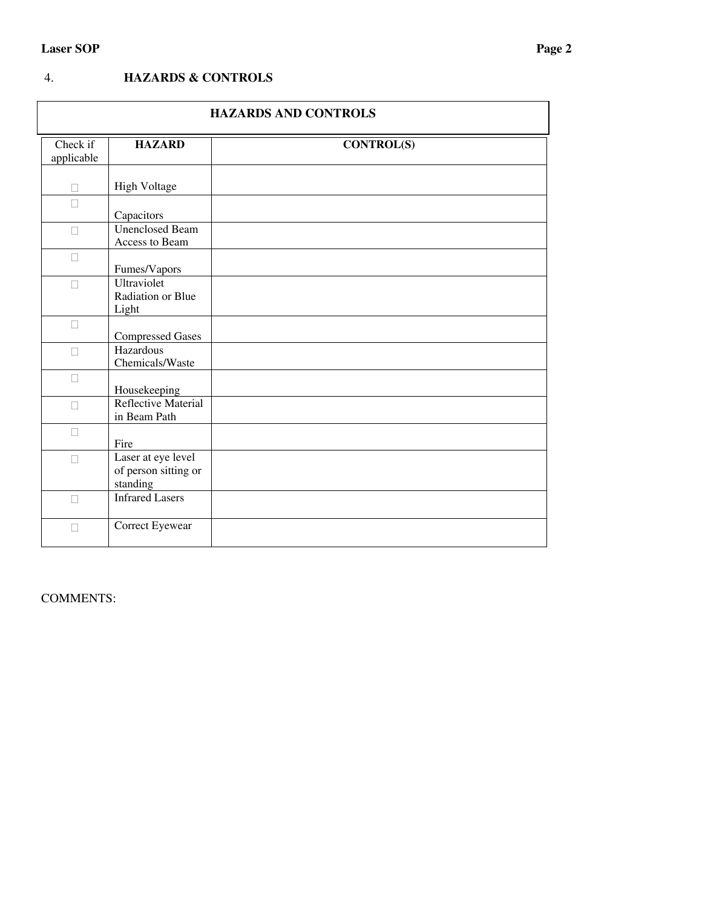### 4. **HAZARDS & CONTROLS**

| <b>HAZARDS AND CONTROLS</b> |                                                        |                   |  |
|-----------------------------|--------------------------------------------------------|-------------------|--|
| Check if<br>applicable      | <b>HAZARD</b>                                          | <b>CONTROL(S)</b> |  |
| П                           | <b>High Voltage</b>                                    |                   |  |
| П                           | Capacitors                                             |                   |  |
| $\Box$                      | <b>Unenclosed Beam</b><br>Access to Beam               |                   |  |
| $\Box$                      | Fumes/Vapors                                           |                   |  |
| П                           | Ultraviolet<br>Radiation or Blue<br>Light              |                   |  |
| $\Box$                      | <b>Compressed Gases</b>                                |                   |  |
| $\Box$                      | Hazardous<br>Chemicals/Waste                           |                   |  |
| П                           | Housekeeping                                           |                   |  |
| П                           | Reflective Material<br>in Beam Path                    |                   |  |
| $\Box$                      | Fire                                                   |                   |  |
| П                           | Laser at eye level<br>of person sitting or<br>standing |                   |  |
| П                           | <b>Infrared Lasers</b>                                 |                   |  |
| П                           | Correct Eyewear                                        |                   |  |

COMMENTS: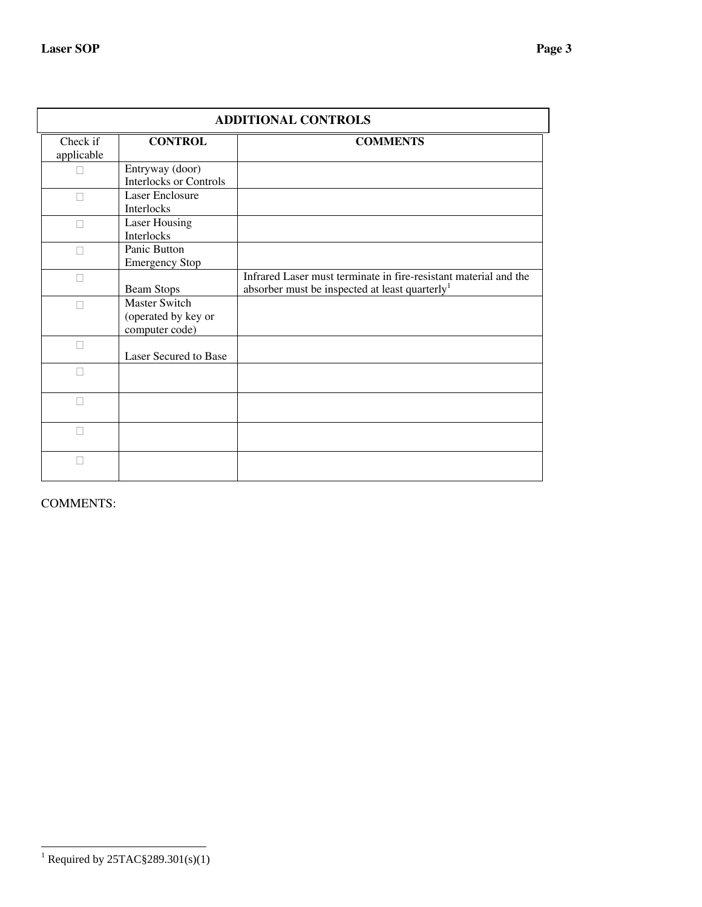| <b>ADDITIONAL CONTROLS</b> |                                                               |                                                                                                                                |  |  |
|----------------------------|---------------------------------------------------------------|--------------------------------------------------------------------------------------------------------------------------------|--|--|
| Check if<br>applicable     | <b>CONTROL</b>                                                | <b>COMMENTS</b>                                                                                                                |  |  |
|                            | Entryway (door)<br><b>Interlocks or Controls</b>              |                                                                                                                                |  |  |
|                            | <b>Laser Enclosure</b><br>Interlocks                          |                                                                                                                                |  |  |
|                            | <b>Laser Housing</b><br>Interlocks                            |                                                                                                                                |  |  |
| П                          | Panic Button<br><b>Emergency Stop</b>                         |                                                                                                                                |  |  |
| П                          | <b>Beam Stops</b>                                             | Infrared Laser must terminate in fire-resistant material and the<br>absorber must be inspected at least quarterly <sup>1</sup> |  |  |
|                            | <b>Master Switch</b><br>(operated by key or<br>computer code) |                                                                                                                                |  |  |
| П                          | Laser Secured to Base                                         |                                                                                                                                |  |  |
|                            |                                                               |                                                                                                                                |  |  |
| П                          |                                                               |                                                                                                                                |  |  |
| П                          |                                                               |                                                                                                                                |  |  |
| П                          |                                                               |                                                                                                                                |  |  |

COMMENTS:

<sup>&</sup>lt;sup>1</sup> Required by 25TAC§289.301(s)(1)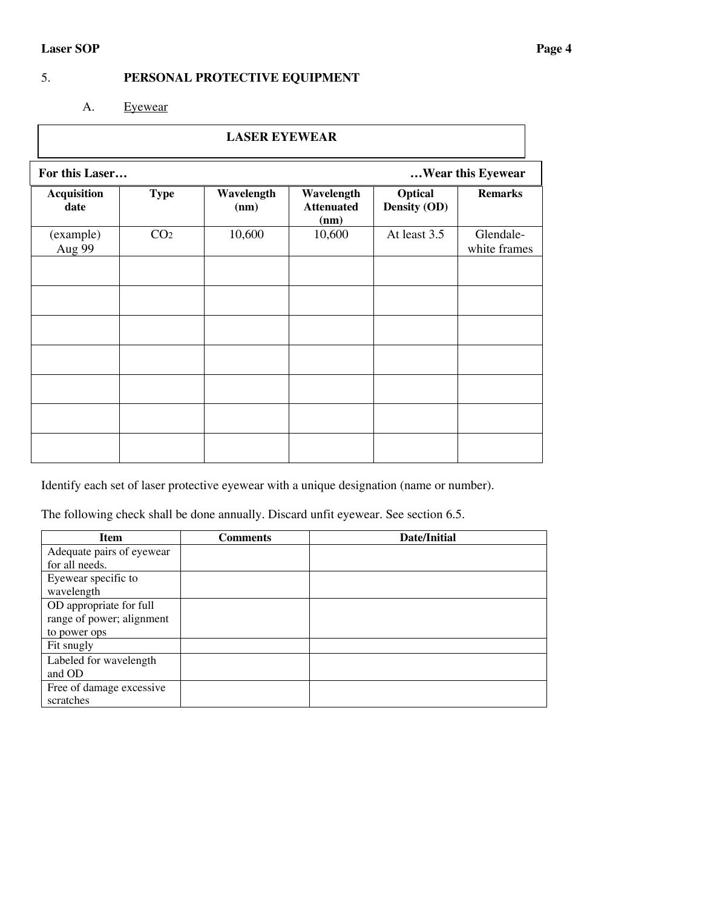## 5. **PERSONAL PROTECTIVE EQUIPMENT**

A. Eyewear

| <b>LASER EYEWEAR</b>       |                                     |                    |                                         |                         |                           |
|----------------------------|-------------------------------------|--------------------|-----------------------------------------|-------------------------|---------------------------|
|                            | For this Laser<br>Wear this Eyewear |                    |                                         |                         |                           |
| <b>Acquisition</b><br>date | <b>Type</b>                         | Wavelength<br>(nm) | Wavelength<br><b>Attenuated</b><br>(nm) | Optical<br>Density (OD) | <b>Remarks</b>            |
| (example)<br>Aug 99        | CO <sub>2</sub>                     | 10,600             | 10,600                                  | At least 3.5            | Glendale-<br>white frames |
|                            |                                     |                    |                                         |                         |                           |
|                            |                                     |                    |                                         |                         |                           |
|                            |                                     |                    |                                         |                         |                           |
|                            |                                     |                    |                                         |                         |                           |
|                            |                                     |                    |                                         |                         |                           |
|                            |                                     |                    |                                         |                         |                           |
|                            |                                     |                    |                                         |                         |                           |

Identify each set of laser protective eyewear with a unique designation (name or number).

The following check shall be done annually. Discard unfit eyewear. See section 6.5.

| <b>Item</b>               | Comments | Date/Initial |
|---------------------------|----------|--------------|
| Adequate pairs of eyewear |          |              |
| for all needs.            |          |              |
| Eyewear specific to       |          |              |
| wavelength                |          |              |
| OD appropriate for full   |          |              |
| range of power; alignment |          |              |
| to power ops              |          |              |
| Fit snugly                |          |              |
| Labeled for wavelength    |          |              |
| and OD                    |          |              |
| Free of damage excessive  |          |              |
| scratches                 |          |              |

٦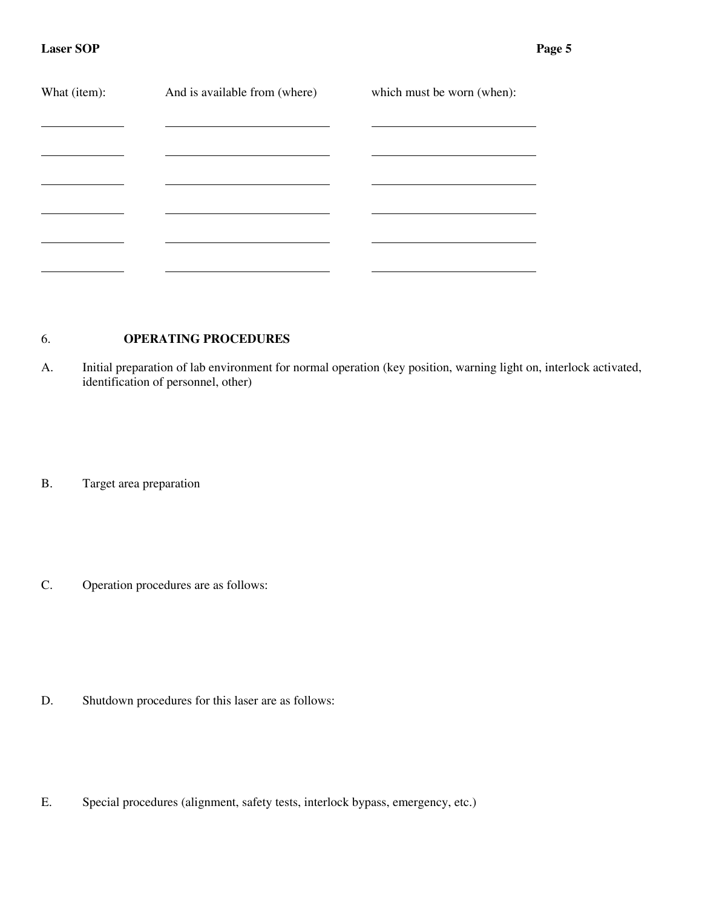| What (item): | And is available from (where) | which must be worn (when): |
|--------------|-------------------------------|----------------------------|
|              |                               |                            |
|              |                               |                            |
|              |                               |                            |
|              |                               |                            |
|              |                               |                            |

### 6. **OPERATING PROCEDURES**

A. Initial preparation of lab environment for normal operation (key position, warning light on, interlock activated, identification of personnel, other)

B. Target area preparation

C. Operation procedures are as follows:

- D. Shutdown procedures for this laser are as follows:
- E. Special procedures (alignment, safety tests, interlock bypass, emergency, etc.)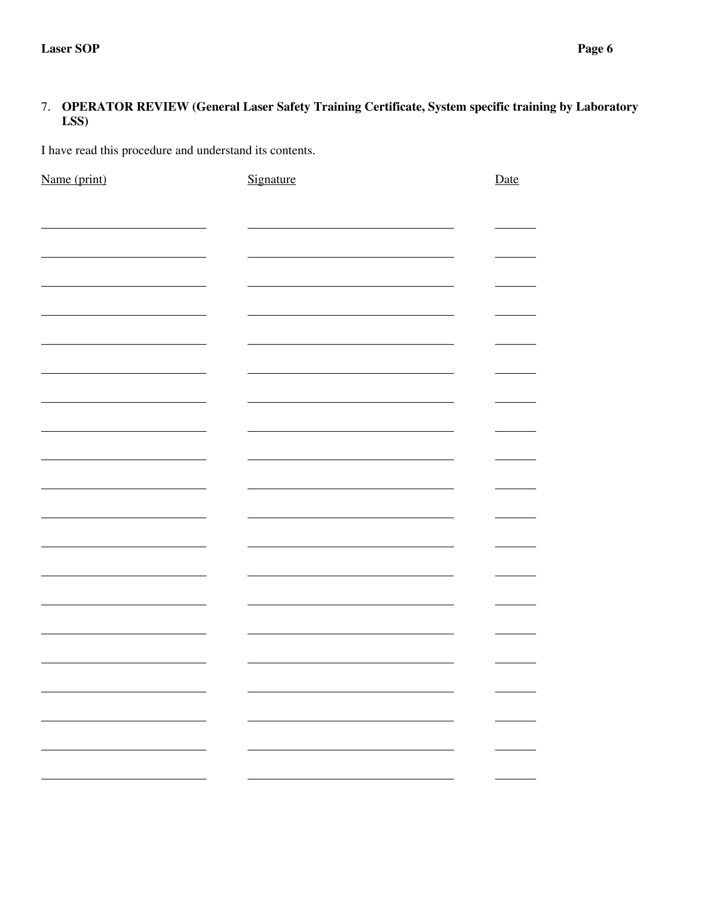### 7. **OPERATOR REVIEW (General Laser Safety Training Certificate, System specific training by Laboratory LSS)**

I have read this procedure and understand its contents.

| Name (print) | Signature | Date                                                            |
|--------------|-----------|-----------------------------------------------------------------|
|              |           |                                                                 |
|              |           |                                                                 |
|              |           |                                                                 |
|              |           |                                                                 |
|              |           |                                                                 |
|              |           |                                                                 |
|              |           |                                                                 |
|              |           |                                                                 |
|              |           |                                                                 |
|              |           |                                                                 |
|              |           |                                                                 |
|              |           |                                                                 |
|              |           |                                                                 |
|              |           |                                                                 |
|              |           |                                                                 |
|              |           |                                                                 |
|              |           |                                                                 |
|              |           |                                                                 |
|              |           |                                                                 |
|              |           |                                                                 |
|              |           |                                                                 |
|              |           |                                                                 |
|              |           |                                                                 |
|              |           |                                                                 |
|              |           |                                                                 |
|              |           |                                                                 |
|              |           |                                                                 |
|              |           |                                                                 |
|              |           |                                                                 |
|              |           |                                                                 |
|              |           |                                                                 |
| ÷.           |           | $\overline{\phantom{a}}$<br>$\overline{\phantom{0}}$            |
|              |           | the contract of the contract of the<br>$\overline{\phantom{0}}$ |
|              |           |                                                                 |
|              |           | $\mathcal{L}_{\mathcal{A}}$<br>$\overline{\phantom{0}}$         |
|              |           |                                                                 |
|              |           |                                                                 |